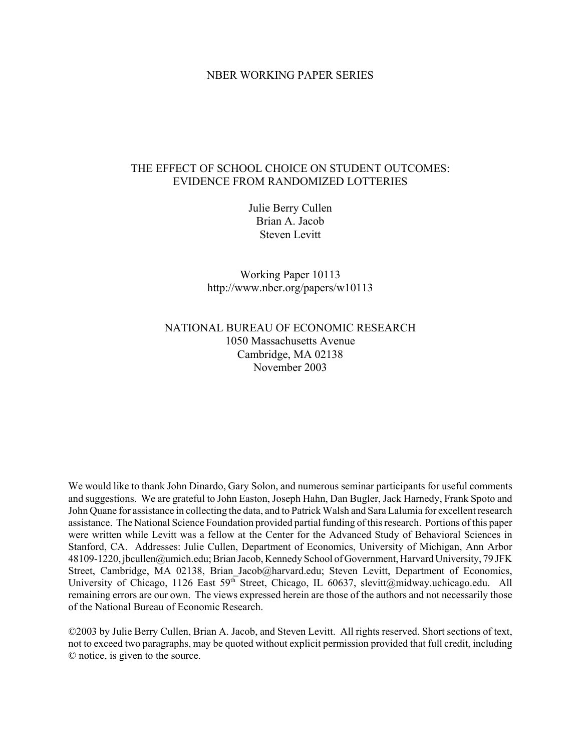#### NBER WORKING PAPER SERIES

### THE EFFECT OF SCHOOL CHOICE ON STUDENT OUTCOMES: EVIDENCE FROM RANDOMIZED LOTTERIES

Julie Berry Cullen Brian A. Jacob Steven Levitt

Working Paper 10113 http://www.nber.org/papers/w10113

### NATIONAL BUREAU OF ECONOMIC RESEARCH 1050 Massachusetts Avenue Cambridge, MA 02138 November 2003

We would like to thank John Dinardo, Gary Solon, and numerous seminar participants for useful comments and suggestions. We are grateful to John Easton, Joseph Hahn, Dan Bugler, Jack Harnedy, Frank Spoto and John Quane for assistance in collecting the data, and to Patrick Walsh and Sara Lalumia for excellent research assistance. The National Science Foundation provided partial funding of this research. Portions of this paper were written while Levitt was a fellow at the Center for the Advanced Study of Behavioral Sciences in Stanford, CA. Addresses: Julie Cullen, Department of Economics, University of Michigan, Ann Arbor 48109-1220, jbcullen@umich.edu; Brian Jacob, Kennedy School of Government, Harvard University, 79 JFK Street, Cambridge, MA 02138, Brian Jacob@harvard.edu; Steven Levitt, Department of Economics, University of Chicago, 1126 East 59<sup>th</sup> Street, Chicago, IL 60637, slevitt@midway.uchicago.edu. All remaining errors are our own. The views expressed herein are those of the authors and not necessarily those of the National Bureau of Economic Research.

©2003 by Julie Berry Cullen, Brian A. Jacob, and Steven Levitt. All rights reserved. Short sections of text, not to exceed two paragraphs, may be quoted without explicit permission provided that full credit, including © notice, is given to the source.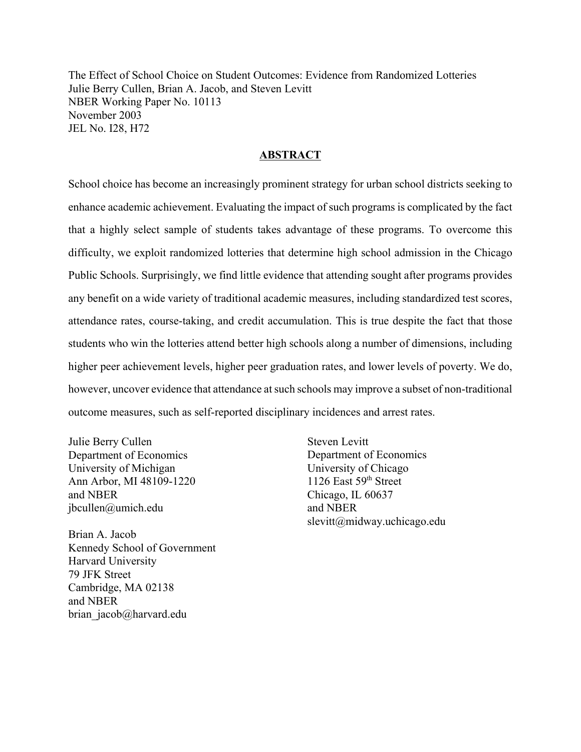The Effect of School Choice on Student Outcomes: Evidence from Randomized Lotteries Julie Berry Cullen, Brian A. Jacob, and Steven Levitt NBER Working Paper No. 10113 November 2003 JEL No. I28, H72

#### **ABSTRACT**

School choice has become an increasingly prominent strategy for urban school districts seeking to enhance academic achievement. Evaluating the impact of such programs is complicated by the fact that a highly select sample of students takes advantage of these programs. To overcome this difficulty, we exploit randomized lotteries that determine high school admission in the Chicago Public Schools. Surprisingly, we find little evidence that attending sought after programs provides any benefit on a wide variety of traditional academic measures, including standardized test scores, attendance rates, course-taking, and credit accumulation. This is true despite the fact that those students who win the lotteries attend better high schools along a number of dimensions, including higher peer achievement levels, higher peer graduation rates, and lower levels of poverty. We do, however, uncover evidence that attendance at such schools may improve a subset of non-traditional outcome measures, such as self-reported disciplinary incidences and arrest rates.

Julie Berry Cullen Department of Economics University of Michigan Ann Arbor, MI 48109-1220 and NBER jbcullen@umich.edu

Brian A. Jacob Kennedy School of Government Harvard University 79 JFK Street Cambridge, MA 02138 and NBER brian jacob@harvard.edu

Steven Levitt Department of Economics University of Chicago 1126 East 59<sup>th</sup> Street Chicago, IL 60637 and NBER slevitt@midway.uchicago.edu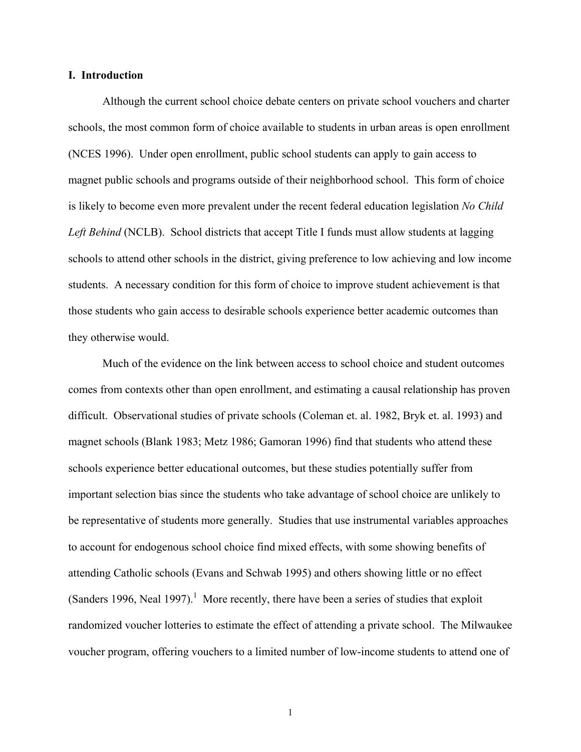#### **I. Introduction**

Although the current school choice debate centers on private school vouchers and charter schools, the most common form of choice available to students in urban areas is open enrollment (NCES 1996). Under open enrollment, public school students can apply to gain access to magnet public schools and programs outside of their neighborhood school. This form of choice is likely to become even more prevalent under the recent federal education legislation *No Child*  Left Behind (NCLB). School districts that accept Title I funds must allow students at lagging schools to attend other schools in the district, giving preference to low achieving and low income students. A necessary condition for this form of choice to improve student achievement is that those students who gain access to desirable schools experience better academic outcomes than they otherwise would.

Much of the evidence on the link between access to school choice and student outcomes comes from contexts other than open enrollment, and estimating a causal relationship has proven difficult. Observational studies of private schools (Coleman et. al. 1982, Bryk et. al. 1993) and magnet schools (Blank 1983; Metz 1986; Gamoran 1996) find that students who attend these schools experience better educational outcomes, but these studies potentially suffer from important selection bias since the students who take advantage of school choice are unlikely to be representative of students more generally. Studies that use instrumental variables approaches to account for endogenous school choice find mixed effects, with some showing benefits of attending Catholic schools (Evans and Schwab 1995) and others showing little or no effect (Sanders 1996, Neal 1997).<sup>1</sup> More recently, there have been a series of studies that exploit randomized voucher lotteries to estimate the effect of attending a private school. The Milwaukee voucher program, offering vouchers to a limited number of low-income students to attend one of

1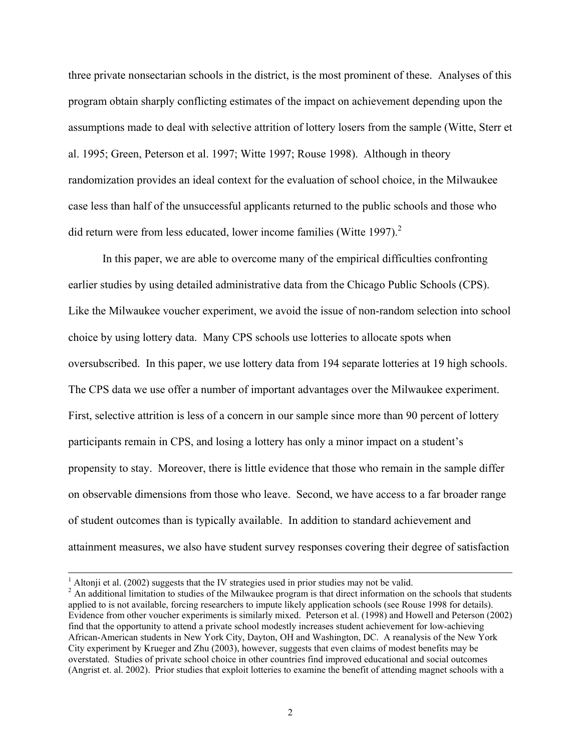three private nonsectarian schools in the district, is the most prominent of these. Analyses of this program obtain sharply conflicting estimates of the impact on achievement depending upon the assumptions made to deal with selective attrition of lottery losers from the sample (Witte, Sterr et al. 1995; Green, Peterson et al. 1997; Witte 1997; Rouse 1998). Although in theory randomization provides an ideal context for the evaluation of school choice, in the Milwaukee case less than half of the unsuccessful applicants returned to the public schools and those who did return were from less educated, lower income families (Witte 1997).<sup>2</sup>

In this paper, we are able to overcome many of the empirical difficulties confronting earlier studies by using detailed administrative data from the Chicago Public Schools (CPS). Like the Milwaukee voucher experiment, we avoid the issue of non-random selection into school choice by using lottery data. Many CPS schools use lotteries to allocate spots when oversubscribed. In this paper, we use lottery data from 194 separate lotteries at 19 high schools. The CPS data we use offer a number of important advantages over the Milwaukee experiment. First, selective attrition is less of a concern in our sample since more than 90 percent of lottery participants remain in CPS, and losing a lottery has only a minor impact on a student's propensity to stay. Moreover, there is little evidence that those who remain in the sample differ on observable dimensions from those who leave. Second, we have access to a far broader range of student outcomes than is typically available. In addition to standard achievement and attainment measures, we also have student survey responses covering their degree of satisfaction

 <sup>1</sup> <sup>1</sup> Altonji et al. (2002) suggests that the IV strategies used in prior studies may not be valid.

<sup>&</sup>lt;sup>2</sup> An additional limitation to studies of the Milwaukee program is that direct information on the schools that students applied to is not available, forcing researchers to impute likely application schools (see Rouse 1998 for details). Evidence from other voucher experiments is similarly mixed. Peterson et al. (1998) and Howell and Peterson (2002) find that the opportunity to attend a private school modestly increases student achievement for low-achieving African-American students in New York City, Dayton, OH and Washington, DC. A reanalysis of the New York City experiment by Krueger and Zhu (2003), however, suggests that even claims of modest benefits may be overstated. Studies of private school choice in other countries find improved educational and social outcomes (Angrist et. al. 2002). Prior studies that exploit lotteries to examine the benefit of attending magnet schools with a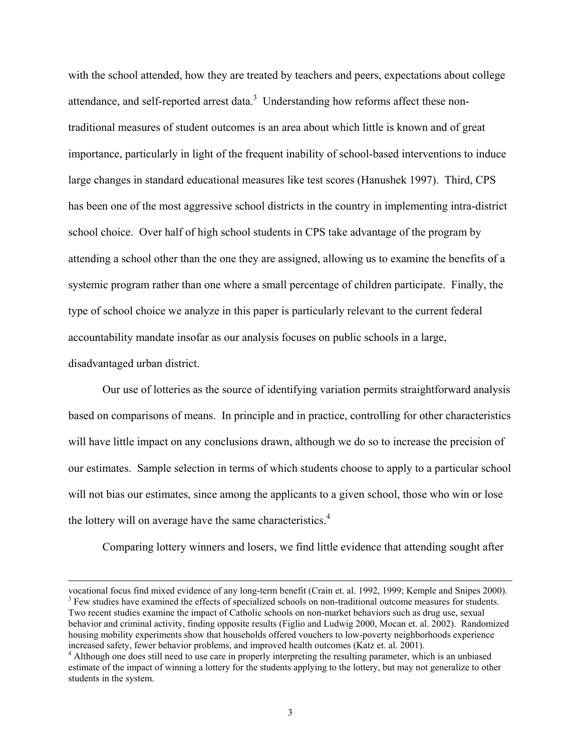with the school attended, how they are treated by teachers and peers, expectations about college attendance, and self-reported arrest data. $3$  Understanding how reforms affect these nontraditional measures of student outcomes is an area about which little is known and of great importance, particularly in light of the frequent inability of school-based interventions to induce large changes in standard educational measures like test scores (Hanushek 1997). Third, CPS has been one of the most aggressive school districts in the country in implementing intra-district school choice. Over half of high school students in CPS take advantage of the program by attending a school other than the one they are assigned, allowing us to examine the benefits of a systemic program rather than one where a small percentage of children participate. Finally, the type of school choice we analyze in this paper is particularly relevant to the current federal accountability mandate insofar as our analysis focuses on public schools in a large, disadvantaged urban district.

 Our use of lotteries as the source of identifying variation permits straightforward analysis based on comparisons of means. In principle and in practice, controlling for other characteristics will have little impact on any conclusions drawn, although we do so to increase the precision of our estimates. Sample selection in terms of which students choose to apply to a particular school will not bias our estimates, since among the applicants to a given school, those who win or lose the lottery will on average have the same characteristics.<sup>4</sup>

Comparing lottery winners and losers, we find little evidence that attending sought after

l

vocational focus find mixed evidence of any long-term benefit (Crain et. al. 1992, 1999; Kemple and Snipes 2000). <sup>3</sup> Few studies have examined the effects of specialized schools on non-traditional outcome measures for students.

Two recent studies examine the impact of Catholic schools on non-market behaviors such as drug use, sexual behavior and criminal activity, finding opposite results (Figlio and Ludwig 2000, Mocan et. al. 2002). Randomized housing mobility experiments show that households offered vouchers to low-poverty neighborhoods experience increased safety, fewer behavior problems, and improved health outcomes (Katz et. al. 2001).

<sup>&</sup>lt;sup>4</sup> Although one does still need to use care in properly interpreting the resulting parameter, which is an unbiased estimate of the impact of winning a lottery for the students applying to the lottery, but may not generalize to other students in the system.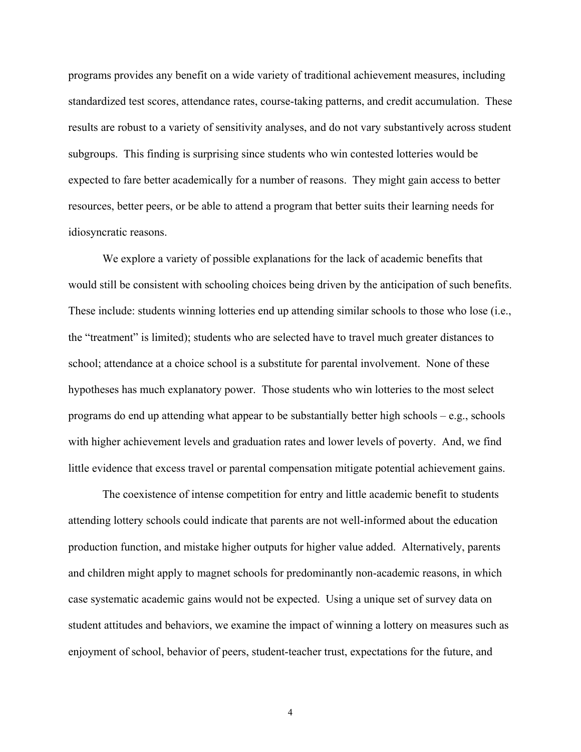programs provides any benefit on a wide variety of traditional achievement measures, including standardized test scores, attendance rates, course-taking patterns, and credit accumulation. These results are robust to a variety of sensitivity analyses, and do not vary substantively across student subgroups. This finding is surprising since students who win contested lotteries would be expected to fare better academically for a number of reasons. They might gain access to better resources, better peers, or be able to attend a program that better suits their learning needs for idiosyncratic reasons.

We explore a variety of possible explanations for the lack of academic benefits that would still be consistent with schooling choices being driven by the anticipation of such benefits. These include: students winning lotteries end up attending similar schools to those who lose (i.e., the "treatment" is limited); students who are selected have to travel much greater distances to school; attendance at a choice school is a substitute for parental involvement. None of these hypotheses has much explanatory power. Those students who win lotteries to the most select programs do end up attending what appear to be substantially better high schools – e.g., schools with higher achievement levels and graduation rates and lower levels of poverty. And, we find little evidence that excess travel or parental compensation mitigate potential achievement gains.

The coexistence of intense competition for entry and little academic benefit to students attending lottery schools could indicate that parents are not well-informed about the education production function, and mistake higher outputs for higher value added. Alternatively, parents and children might apply to magnet schools for predominantly non-academic reasons, in which case systematic academic gains would not be expected. Using a unique set of survey data on student attitudes and behaviors, we examine the impact of winning a lottery on measures such as enjoyment of school, behavior of peers, student-teacher trust, expectations for the future, and

4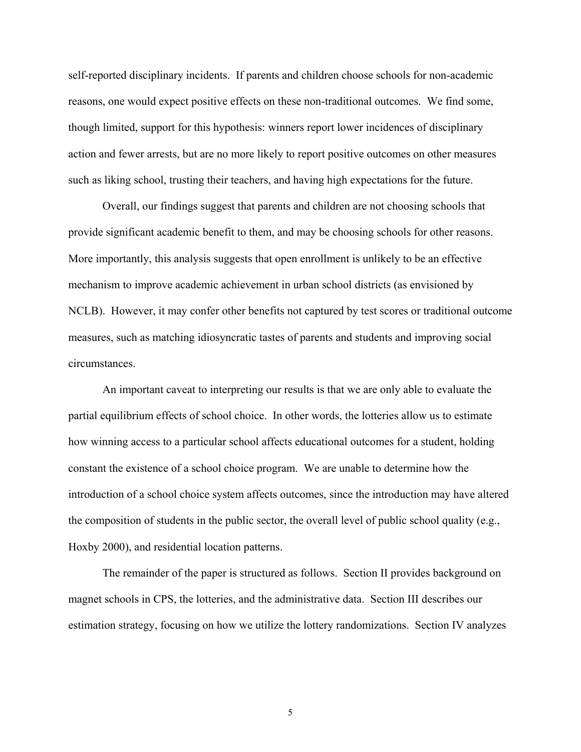self-reported disciplinary incidents. If parents and children choose schools for non-academic reasons, one would expect positive effects on these non-traditional outcomes. We find some, though limited, support for this hypothesis: winners report lower incidences of disciplinary action and fewer arrests, but are no more likely to report positive outcomes on other measures such as liking school, trusting their teachers, and having high expectations for the future.

Overall, our findings suggest that parents and children are not choosing schools that provide significant academic benefit to them, and may be choosing schools for other reasons. More importantly, this analysis suggests that open enrollment is unlikely to be an effective mechanism to improve academic achievement in urban school districts (as envisioned by NCLB). However, it may confer other benefits not captured by test scores or traditional outcome measures, such as matching idiosyncratic tastes of parents and students and improving social circumstances.

An important caveat to interpreting our results is that we are only able to evaluate the partial equilibrium effects of school choice. In other words, the lotteries allow us to estimate how winning access to a particular school affects educational outcomes for a student, holding constant the existence of a school choice program. We are unable to determine how the introduction of a school choice system affects outcomes, since the introduction may have altered the composition of students in the public sector, the overall level of public school quality (e.g., Hoxby 2000), and residential location patterns.

The remainder of the paper is structured as follows. Section II provides background on magnet schools in CPS, the lotteries, and the administrative data. Section III describes our estimation strategy, focusing on how we utilize the lottery randomizations. Section IV analyzes

5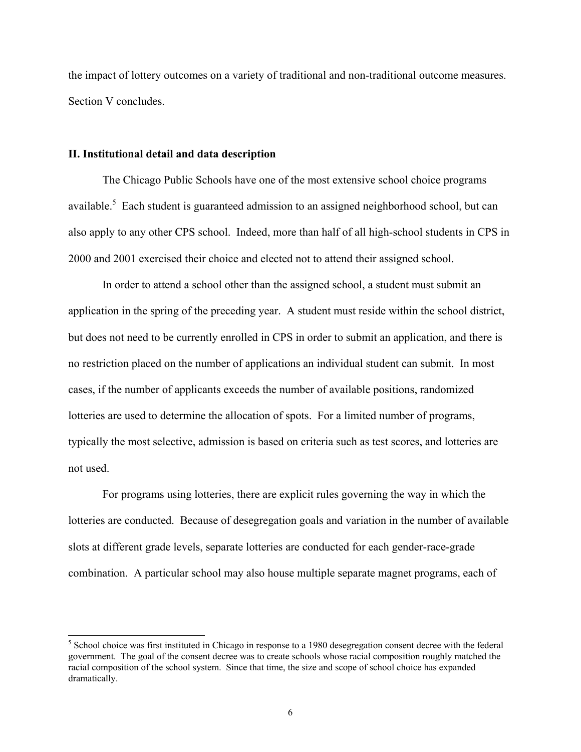the impact of lottery outcomes on a variety of traditional and non-traditional outcome measures. Section V concludes.

#### **II. Institutional detail and data description**

 $\overline{a}$ 

The Chicago Public Schools have one of the most extensive school choice programs available.<sup>5</sup> Each student is guaranteed admission to an assigned neighborhood school, but can also apply to any other CPS school. Indeed, more than half of all high-school students in CPS in 2000 and 2001 exercised their choice and elected not to attend their assigned school.

In order to attend a school other than the assigned school, a student must submit an application in the spring of the preceding year. A student must reside within the school district, but does not need to be currently enrolled in CPS in order to submit an application, and there is no restriction placed on the number of applications an individual student can submit. In most cases, if the number of applicants exceeds the number of available positions, randomized lotteries are used to determine the allocation of spots. For a limited number of programs, typically the most selective, admission is based on criteria such as test scores, and lotteries are not used.

For programs using lotteries, there are explicit rules governing the way in which the lotteries are conducted. Because of desegregation goals and variation in the number of available slots at different grade levels, separate lotteries are conducted for each gender-race-grade combination. A particular school may also house multiple separate magnet programs, each of

<sup>&</sup>lt;sup>5</sup> School choice was first instituted in Chicago in response to a 1980 desegregation consent decree with the federal government. The goal of the consent decree was to create schools whose racial composition roughly matched the racial composition of the school system. Since that time, the size and scope of school choice has expanded dramatically.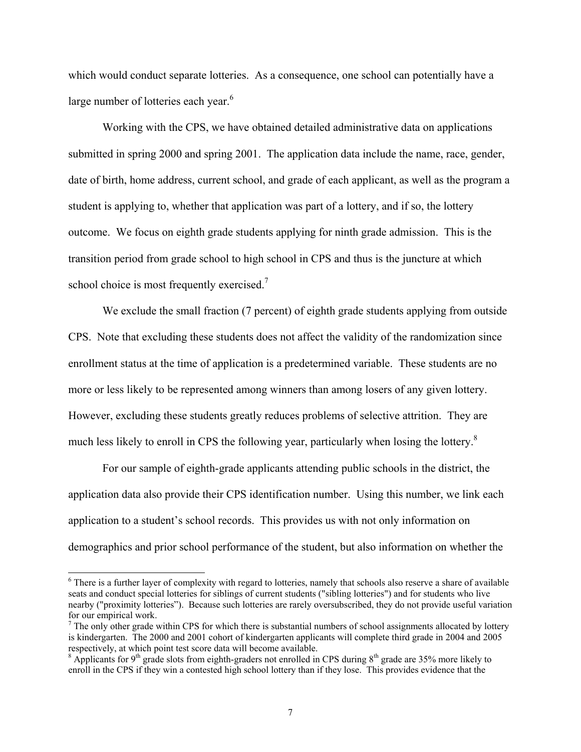which would conduct separate lotteries. As a consequence, one school can potentially have a large number of lotteries each year.<sup>6</sup>

Working with the CPS, we have obtained detailed administrative data on applications submitted in spring 2000 and spring 2001. The application data include the name, race, gender, date of birth, home address, current school, and grade of each applicant, as well as the program a student is applying to, whether that application was part of a lottery, and if so, the lottery outcome. We focus on eighth grade students applying for ninth grade admission. This is the transition period from grade school to high school in CPS and thus is the juncture at which school choice is most frequently exercised.<sup>7</sup>

We exclude the small fraction (7 percent) of eighth grade students applying from outside CPS. Note that excluding these students does not affect the validity of the randomization since enrollment status at the time of application is a predetermined variable. These students are no more or less likely to be represented among winners than among losers of any given lottery. However, excluding these students greatly reduces problems of selective attrition. They are much less likely to enroll in CPS the following year, particularly when losing the lottery.<sup>8</sup>

For our sample of eighth-grade applicants attending public schools in the district, the application data also provide their CPS identification number. Using this number, we link each application to a student's school records. This provides us with not only information on demographics and prior school performance of the student, but also information on whether the

<sup>&</sup>lt;sup>6</sup> There is a further layer of complexity with regard to lotteries, namely that schools also reserve a share of available seats and conduct special lotteries for siblings of current students ("sibling lotteries") and for students who live nearby ("proximity lotteries"). Because such lotteries are rarely oversubscribed, they do not provide useful variation for our empirical work.

 $<sup>7</sup>$  The only other grade within CPS for which there is substantial numbers of school assignments allocated by lottery</sup> is kindergarten. The 2000 and 2001 cohort of kindergarten applicants will complete third grade in 2004 and 2005 respectively, at which point test score data will become available.

<sup>&</sup>lt;sup>8</sup> Applicants for 9<sup>th</sup> grade slots from eighth-graders not enrolled in CPS during 8<sup>th</sup> grade are 35% more likely to enroll in the CPS if they win a contested high school lottery than if they lose. This provides evidence that the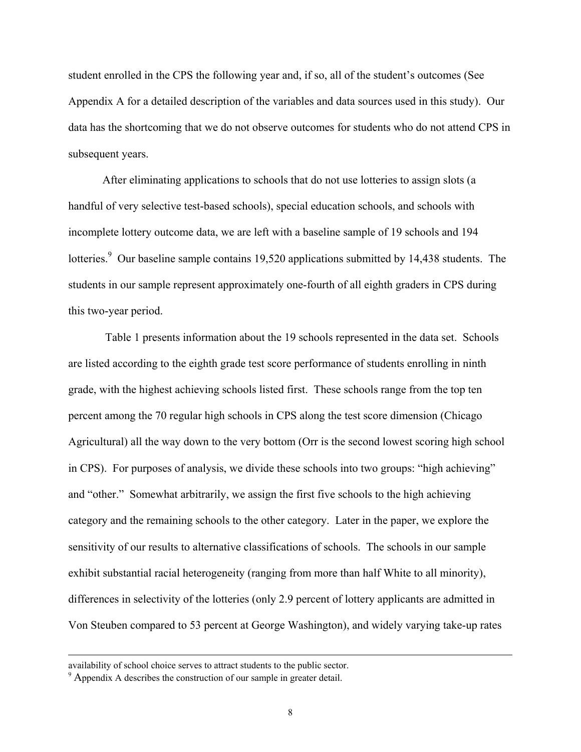student enrolled in the CPS the following year and, if so, all of the student's outcomes (See Appendix A for a detailed description of the variables and data sources used in this study). Our data has the shortcoming that we do not observe outcomes for students who do not attend CPS in subsequent years.

After eliminating applications to schools that do not use lotteries to assign slots (a handful of very selective test-based schools), special education schools, and schools with incomplete lottery outcome data, we are left with a baseline sample of 19 schools and 194 lotteries.<sup>9</sup> Our baseline sample contains 19,520 applications submitted by 14,438 students. The students in our sample represent approximately one-fourth of all eighth graders in CPS during this two-year period.

 Table 1 presents information about the 19 schools represented in the data set. Schools are listed according to the eighth grade test score performance of students enrolling in ninth grade, with the highest achieving schools listed first. These schools range from the top ten percent among the 70 regular high schools in CPS along the test score dimension (Chicago Agricultural) all the way down to the very bottom (Orr is the second lowest scoring high school in CPS). For purposes of analysis, we divide these schools into two groups: "high achieving" and "other." Somewhat arbitrarily, we assign the first five schools to the high achieving category and the remaining schools to the other category. Later in the paper, we explore the sensitivity of our results to alternative classifications of schools. The schools in our sample exhibit substantial racial heterogeneity (ranging from more than half White to all minority), differences in selectivity of the lotteries (only 2.9 percent of lottery applicants are admitted in Von Steuben compared to 53 percent at George Washington), and widely varying take-up rates

availability of school choice serves to attract students to the public sector. 9 Appendix A describes the construction of our sample in greater detail.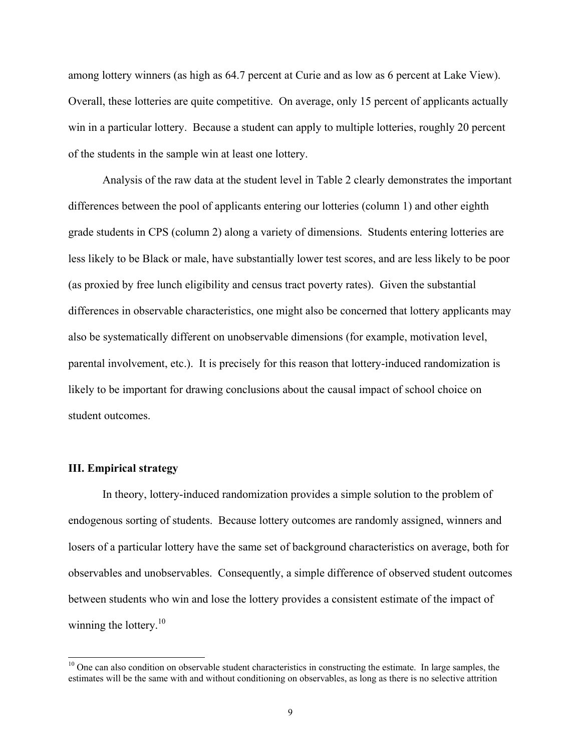among lottery winners (as high as 64.7 percent at Curie and as low as 6 percent at Lake View). Overall, these lotteries are quite competitive. On average, only 15 percent of applicants actually win in a particular lottery. Because a student can apply to multiple lotteries, roughly 20 percent of the students in the sample win at least one lottery.

Analysis of the raw data at the student level in Table 2 clearly demonstrates the important differences between the pool of applicants entering our lotteries (column 1) and other eighth grade students in CPS (column 2) along a variety of dimensions. Students entering lotteries are less likely to be Black or male, have substantially lower test scores, and are less likely to be poor (as proxied by free lunch eligibility and census tract poverty rates). Given the substantial differences in observable characteristics, one might also be concerned that lottery applicants may also be systematically different on unobservable dimensions (for example, motivation level, parental involvement, etc.). It is precisely for this reason that lottery-induced randomization is likely to be important for drawing conclusions about the causal impact of school choice on student outcomes.

#### **III. Empirical strategy**

 $\overline{a}$ 

In theory, lottery-induced randomization provides a simple solution to the problem of endogenous sorting of students. Because lottery outcomes are randomly assigned, winners and losers of a particular lottery have the same set of background characteristics on average, both for observables and unobservables. Consequently, a simple difference of observed student outcomes between students who win and lose the lottery provides a consistent estimate of the impact of winning the lottery. $10$ 

<sup>&</sup>lt;sup>10</sup> One can also condition on observable student characteristics in constructing the estimate. In large samples, the estimates will be the same with and without conditioning on observables, as long as there is no selective attrition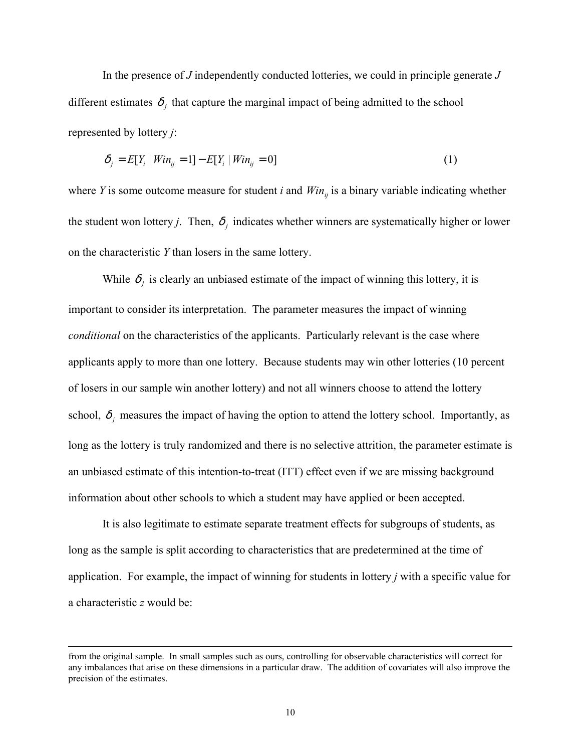In the presence of *J* independently conducted lotteries, we could in principle generate *J* different estimates  $\delta_j$  that capture the marginal impact of being admitted to the school represented by lottery *j*:

$$
\delta_j = E[Y_i | Win_{ij} = 1] - E[Y_i | Win_{ij} = 0]
$$
\n(1)

where *Y* is some outcome measure for student *i* and  $Win_{ij}$  is a binary variable indicating whether the student won lottery *j*. Then,  $\delta_j$  indicates whether winners are systematically higher or lower on the characteristic *Y* than losers in the same lottery.

While  $\delta_i$  is clearly an unbiased estimate of the impact of winning this lottery, it is important to consider its interpretation. The parameter measures the impact of winning *conditional* on the characteristics of the applicants. Particularly relevant is the case where applicants apply to more than one lottery. Because students may win other lotteries (10 percent of losers in our sample win another lottery) and not all winners choose to attend the lottery school,  $\delta_j$  measures the impact of having the option to attend the lottery school. Importantly, as long as the lottery is truly randomized and there is no selective attrition, the parameter estimate is an unbiased estimate of this intention-to-treat (ITT) effect even if we are missing background information about other schools to which a student may have applied or been accepted.

It is also legitimate to estimate separate treatment effects for subgroups of students, as long as the sample is split according to characteristics that are predetermined at the time of application. For example, the impact of winning for students in lottery *j* with a specific value for a characteristic *z* would be:

l

from the original sample. In small samples such as ours, controlling for observable characteristics will correct for any imbalances that arise on these dimensions in a particular draw. The addition of covariates will also improve the precision of the estimates.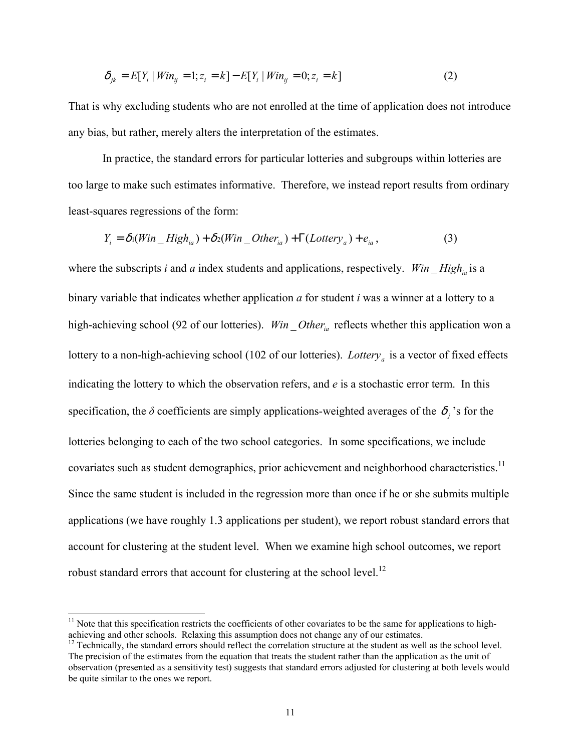$$
\delta_{jk} = E[Y_i \mid Win_{ij} = 1; z_i = k] - E[Y_i \mid Win_{ij} = 0; z_i = k]
$$
\n(2)

That is why excluding students who are not enrolled at the time of application does not introduce any bias, but rather, merely alters the interpretation of the estimates.

In practice, the standard errors for particular lotteries and subgroups within lotteries are too large to make such estimates informative. Therefore, we instead report results from ordinary least-squares regressions of the form:

$$
Y_i = \delta_1(Win\_High_{ia}) + \delta_2(Win\_Other_{ia}) + \Gamma(Lottery_a) + e_{ia},
$$
\n(3)

where the subscripts *i* and *a* index students and applications, respectively. *Win* \_ High<sub>ia</sub> is a binary variable that indicates whether application *a* for student *i* was a winner at a lottery to a high-achieving school (92 of our lotteries). *Win Other<sub>ia</sub>* reflects whether this application won a lottery to a non-high-achieving school (102 of our lotteries). *Lottery<sub>a</sub>* is a vector of fixed effects indicating the lottery to which the observation refers, and *e* is a stochastic error term. In this specification, the  $\delta$  coefficients are simply applications-weighted averages of the  $\delta_i$  's for the lotteries belonging to each of the two school categories. In some specifications, we include covariates such as student demographics, prior achievement and neighborhood characteristics.<sup>11</sup> Since the same student is included in the regression more than once if he or she submits multiple applications (we have roughly 1.3 applications per student), we report robust standard errors that account for clustering at the student level. When we examine high school outcomes, we report robust standard errors that account for clustering at the school level.<sup>12</sup>

l

 $11$  Note that this specification restricts the coefficients of other covariates to be the same for applications to highachieving and other schools. Relaxing this assumption does not change any of our estimates.<br><sup>12</sup> Technically, the standard errors should reflect the correlation structure at the student as well as the school level.

The precision of the estimates from the equation that treats the student rather than the application as the unit of observation (presented as a sensitivity test) suggests that standard errors adjusted for clustering at both levels would be quite similar to the ones we report.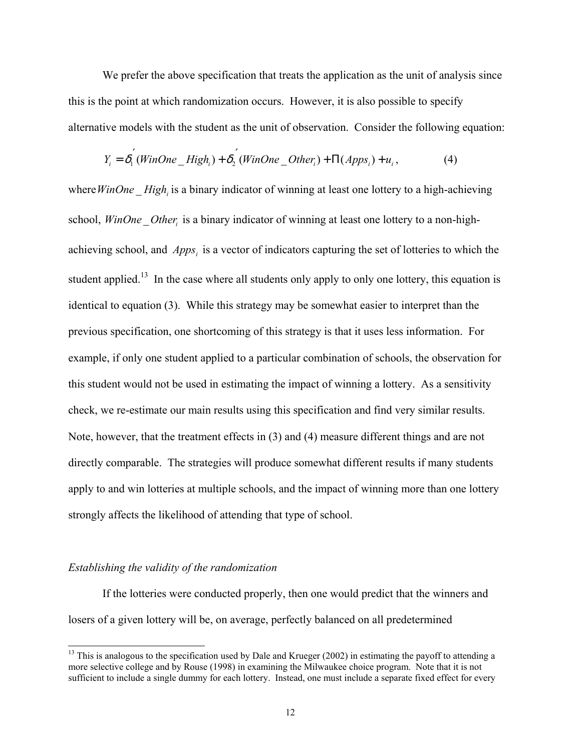We prefer the above specification that treats the application as the unit of analysis since this is the point at which randomization occurs. However, it is also possible to specify alternative models with the student as the unit of observation. Consider the following equation:

$$
Y_i = \delta_1^{'}(WinOne\_High_i) + \delta_2^{'}(WinOne\_Other_i) + \Pi(Apps_i) + u_i,
$$
\n(4)

where *WinOne* High<sub>i</sub> is a binary indicator of winning at least one lottery to a high-achieving school, *WinOne* Other, is a binary indicator of winning at least one lottery to a non-highachieving school, and *Apps<sub>i</sub>* is a vector of indicators capturing the set of lotteries to which the student applied.<sup>13</sup> In the case where all students only apply to only one lottery, this equation is identical to equation (3). While this strategy may be somewhat easier to interpret than the previous specification, one shortcoming of this strategy is that it uses less information. For example, if only one student applied to a particular combination of schools, the observation for this student would not be used in estimating the impact of winning a lottery. As a sensitivity check, we re-estimate our main results using this specification and find very similar results. Note, however, that the treatment effects in (3) and (4) measure different things and are not directly comparable. The strategies will produce somewhat different results if many students apply to and win lotteries at multiple schools, and the impact of winning more than one lottery strongly affects the likelihood of attending that type of school.

#### *Establishing the validity of the randomization*

 $\overline{a}$ 

If the lotteries were conducted properly, then one would predict that the winners and losers of a given lottery will be, on average, perfectly balanced on all predetermined

 $13$  This is analogous to the specification used by Dale and Krueger (2002) in estimating the payoff to attending a more selective college and by Rouse (1998) in examining the Milwaukee choice program. Note that it is not sufficient to include a single dummy for each lottery. Instead, one must include a separate fixed effect for every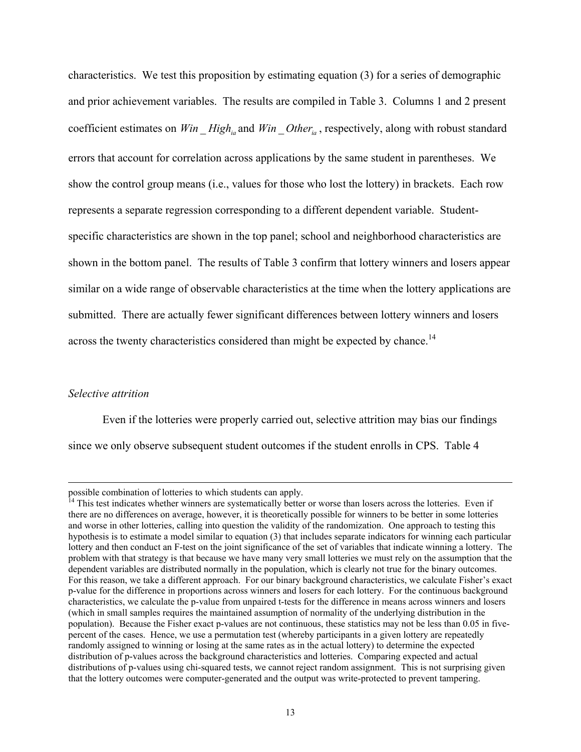characteristics. We test this proposition by estimating equation (3) for a series of demographic and prior achievement variables. The results are compiled in Table 3. Columns 1 and 2 present coefficient estimates on *Win* \_ *High<sub>ia</sub>* and *Win* \_ *Other<sub>ia</sub>*, respectively, along with robust standard errors that account for correlation across applications by the same student in parentheses. We show the control group means (i.e., values for those who lost the lottery) in brackets. Each row represents a separate regression corresponding to a different dependent variable. Studentspecific characteristics are shown in the top panel; school and neighborhood characteristics are shown in the bottom panel. The results of Table 3 confirm that lottery winners and losers appear similar on a wide range of observable characteristics at the time when the lottery applications are submitted. There are actually fewer significant differences between lottery winners and losers across the twenty characteristics considered than might be expected by chance.<sup>14</sup>

#### *Selective attrition*

 $\overline{a}$ 

 Even if the lotteries were properly carried out, selective attrition may bias our findings since we only observe subsequent student outcomes if the student enrolls in CPS. Table 4

possible combination of lotteries to which students can apply.

 $<sup>14</sup>$  This test indicates whether winners are systematically better or worse than losers across the lotteries. Even if</sup> there are no differences on average, however, it is theoretically possible for winners to be better in some lotteries and worse in other lotteries, calling into question the validity of the randomization. One approach to testing this hypothesis is to estimate a model similar to equation (3) that includes separate indicators for winning each particular lottery and then conduct an F-test on the joint significance of the set of variables that indicate winning a lottery. The problem with that strategy is that because we have many very small lotteries we must rely on the assumption that the dependent variables are distributed normally in the population, which is clearly not true for the binary outcomes. For this reason, we take a different approach. For our binary background characteristics, we calculate Fisher's exact p-value for the difference in proportions across winners and losers for each lottery. For the continuous background characteristics, we calculate the p-value from unpaired t-tests for the difference in means across winners and losers (which in small samples requires the maintained assumption of normality of the underlying distribution in the population). Because the Fisher exact p-values are not continuous, these statistics may not be less than 0.05 in fivepercent of the cases. Hence, we use a permutation test (whereby participants in a given lottery are repeatedly randomly assigned to winning or losing at the same rates as in the actual lottery) to determine the expected distribution of p-values across the background characteristics and lotteries. Comparing expected and actual distributions of p-values using chi-squared tests, we cannot reject random assignment. This is not surprising given that the lottery outcomes were computer-generated and the output was write-protected to prevent tampering.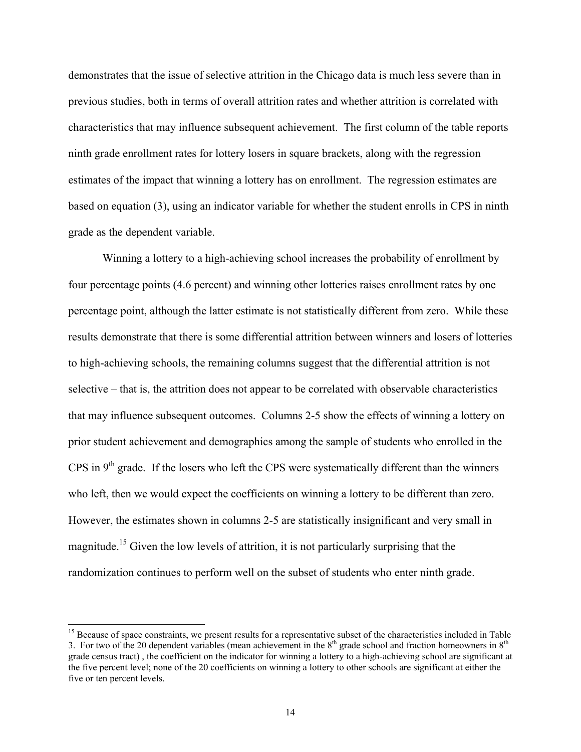demonstrates that the issue of selective attrition in the Chicago data is much less severe than in previous studies, both in terms of overall attrition rates and whether attrition is correlated with characteristics that may influence subsequent achievement. The first column of the table reports ninth grade enrollment rates for lottery losers in square brackets, along with the regression estimates of the impact that winning a lottery has on enrollment. The regression estimates are based on equation (3), using an indicator variable for whether the student enrolls in CPS in ninth grade as the dependent variable.

Winning a lottery to a high-achieving school increases the probability of enrollment by four percentage points (4.6 percent) and winning other lotteries raises enrollment rates by one percentage point, although the latter estimate is not statistically different from zero. While these results demonstrate that there is some differential attrition between winners and losers of lotteries to high-achieving schools, the remaining columns suggest that the differential attrition is not selective – that is, the attrition does not appear to be correlated with observable characteristics that may influence subsequent outcomes. Columns 2-5 show the effects of winning a lottery on prior student achievement and demographics among the sample of students who enrolled in the CPS in  $9<sup>th</sup>$  grade. If the losers who left the CPS were systematically different than the winners who left, then we would expect the coefficients on winning a lottery to be different than zero. However, the estimates shown in columns 2-5 are statistically insignificant and very small in magnitude.15 Given the low levels of attrition, it is not particularly surprising that the randomization continues to perform well on the subset of students who enter ninth grade.

<sup>&</sup>lt;sup>15</sup> Because of space constraints, we present results for a representative subset of the characteristics included in Table 3. For two of the 20 dependent variables (mean achievement in the  $8<sup>th</sup>$  grade school and fraction homeowners in  $8<sup>th</sup>$ grade census tract) , the coefficient on the indicator for winning a lottery to a high-achieving school are significant at the five percent level; none of the 20 coefficients on winning a lottery to other schools are significant at either the five or ten percent levels.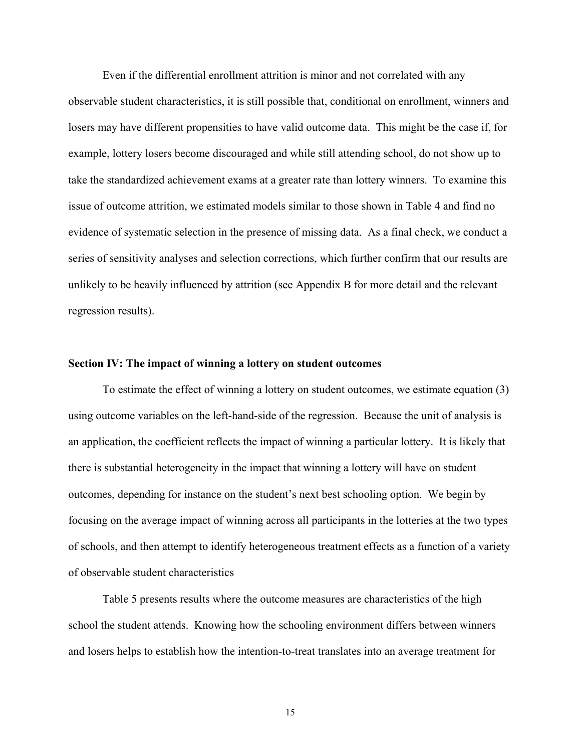Even if the differential enrollment attrition is minor and not correlated with any observable student characteristics, it is still possible that, conditional on enrollment, winners and losers may have different propensities to have valid outcome data. This might be the case if, for example, lottery losers become discouraged and while still attending school, do not show up to take the standardized achievement exams at a greater rate than lottery winners. To examine this issue of outcome attrition, we estimated models similar to those shown in Table 4 and find no evidence of systematic selection in the presence of missing data. As a final check, we conduct a series of sensitivity analyses and selection corrections, which further confirm that our results are unlikely to be heavily influenced by attrition (see Appendix B for more detail and the relevant regression results).

#### **Section IV: The impact of winning a lottery on student outcomes**

To estimate the effect of winning a lottery on student outcomes, we estimate equation (3) using outcome variables on the left-hand-side of the regression. Because the unit of analysis is an application, the coefficient reflects the impact of winning a particular lottery. It is likely that there is substantial heterogeneity in the impact that winning a lottery will have on student outcomes, depending for instance on the student's next best schooling option. We begin by focusing on the average impact of winning across all participants in the lotteries at the two types of schools, and then attempt to identify heterogeneous treatment effects as a function of a variety of observable student characteristics

Table 5 presents results where the outcome measures are characteristics of the high school the student attends. Knowing how the schooling environment differs between winners and losers helps to establish how the intention-to-treat translates into an average treatment for

15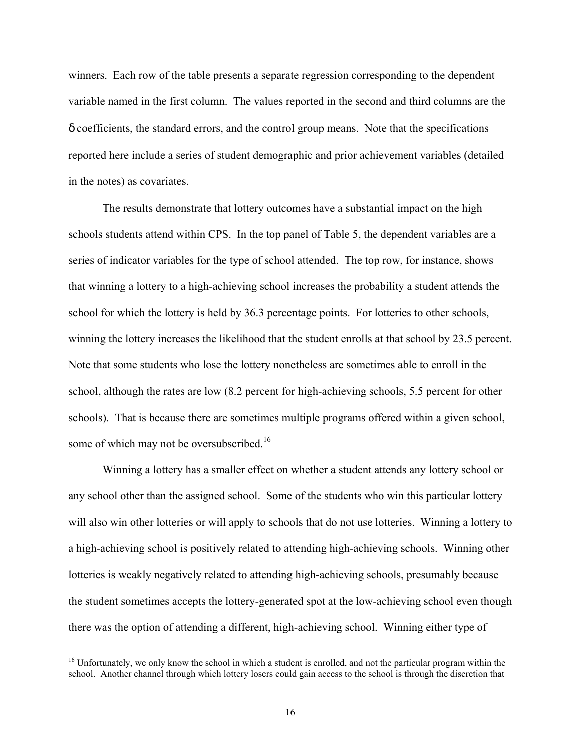winners. Each row of the table presents a separate regression corresponding to the dependent variable named in the first column. The values reported in the second and third columns are the δ coefficients, the standard errors, and the control group means. Note that the specifications reported here include a series of student demographic and prior achievement variables (detailed in the notes) as covariates.

The results demonstrate that lottery outcomes have a substantial impact on the high schools students attend within CPS. In the top panel of Table 5, the dependent variables are a series of indicator variables for the type of school attended. The top row, for instance, shows that winning a lottery to a high-achieving school increases the probability a student attends the school for which the lottery is held by 36.3 percentage points. For lotteries to other schools, winning the lottery increases the likelihood that the student enrolls at that school by 23.5 percent. Note that some students who lose the lottery nonetheless are sometimes able to enroll in the school, although the rates are low (8.2 percent for high-achieving schools, 5.5 percent for other schools). That is because there are sometimes multiple programs offered within a given school, some of which may not be oversubscribed.<sup>16</sup>

Winning a lottery has a smaller effect on whether a student attends any lottery school or any school other than the assigned school. Some of the students who win this particular lottery will also win other lotteries or will apply to schools that do not use lotteries. Winning a lottery to a high-achieving school is positively related to attending high-achieving schools. Winning other lotteries is weakly negatively related to attending high-achieving schools, presumably because the student sometimes accepts the lottery-generated spot at the low-achieving school even though there was the option of attending a different, high-achieving school. Winning either type of

<sup>&</sup>lt;sup>16</sup> Unfortunately, we only know the school in which a student is enrolled, and not the particular program within the school. Another channel through which lottery losers could gain access to the school is through the discretion that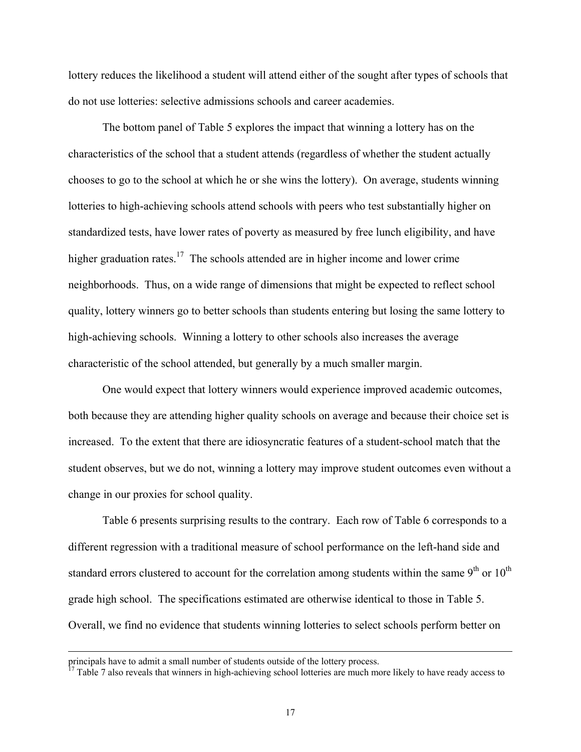lottery reduces the likelihood a student will attend either of the sought after types of schools that do not use lotteries: selective admissions schools and career academies.

The bottom panel of Table 5 explores the impact that winning a lottery has on the characteristics of the school that a student attends (regardless of whether the student actually chooses to go to the school at which he or she wins the lottery). On average, students winning lotteries to high-achieving schools attend schools with peers who test substantially higher on standardized tests, have lower rates of poverty as measured by free lunch eligibility, and have higher graduation rates.<sup>17</sup> The schools attended are in higher income and lower crime neighborhoods. Thus, on a wide range of dimensions that might be expected to reflect school quality, lottery winners go to better schools than students entering but losing the same lottery to high-achieving schools. Winning a lottery to other schools also increases the average characteristic of the school attended, but generally by a much smaller margin.

One would expect that lottery winners would experience improved academic outcomes, both because they are attending higher quality schools on average and because their choice set is increased. To the extent that there are idiosyncratic features of a student-school match that the student observes, but we do not, winning a lottery may improve student outcomes even without a change in our proxies for school quality.

Table 6 presents surprising results to the contrary. Each row of Table 6 corresponds to a different regression with a traditional measure of school performance on the left-hand side and standard errors clustered to account for the correlation among students within the same  $9<sup>th</sup>$  or  $10<sup>th</sup>$ grade high school. The specifications estimated are otherwise identical to those in Table 5. Overall, we find no evidence that students winning lotteries to select schools perform better on

principals have to admit a small number of students outside of the lottery process.

<sup>17</sup> Table 7 also reveals that winners in high-achieving school lotteries are much more likely to have ready access to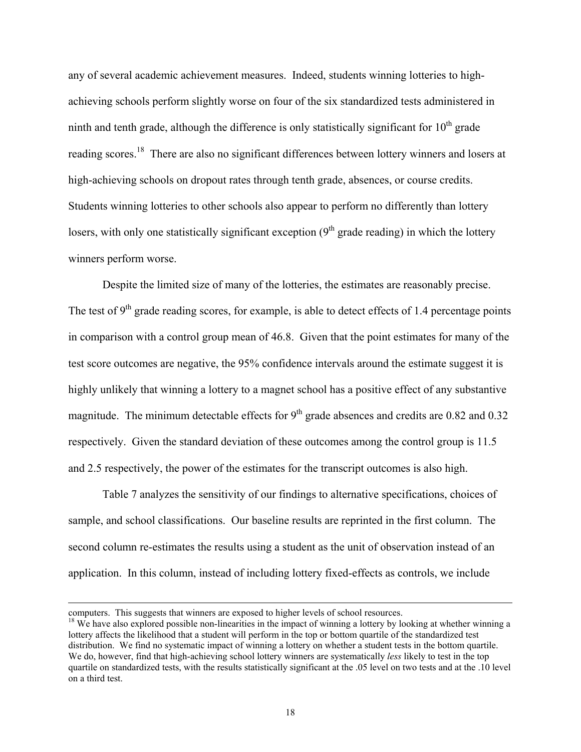any of several academic achievement measures. Indeed, students winning lotteries to highachieving schools perform slightly worse on four of the six standardized tests administered in ninth and tenth grade, although the difference is only statistically significant for  $10<sup>th</sup>$  grade reading scores.<sup>18</sup> There are also no significant differences between lottery winners and losers at high-achieving schools on dropout rates through tenth grade, absences, or course credits. Students winning lotteries to other schools also appear to perform no differently than lottery losers, with only one statistically significant exception  $(9<sup>th</sup>$  grade reading) in which the lottery winners perform worse.

Despite the limited size of many of the lotteries, the estimates are reasonably precise. The test of  $9<sup>th</sup>$  grade reading scores, for example, is able to detect effects of 1.4 percentage points in comparison with a control group mean of 46.8. Given that the point estimates for many of the test score outcomes are negative, the 95% confidence intervals around the estimate suggest it is highly unlikely that winning a lottery to a magnet school has a positive effect of any substantive magnitude. The minimum detectable effects for  $9<sup>th</sup>$  grade absences and credits are 0.82 and 0.32 respectively. Given the standard deviation of these outcomes among the control group is 11.5 and 2.5 respectively, the power of the estimates for the transcript outcomes is also high.

Table 7 analyzes the sensitivity of our findings to alternative specifications, choices of sample, and school classifications. Our baseline results are reprinted in the first column. The second column re-estimates the results using a student as the unit of observation instead of an application. In this column, instead of including lottery fixed-effects as controls, we include

computers. This suggests that winners are exposed to higher levels of school resources.<br><sup>18</sup> We have also explored possible non-linearities in the impact of winning a lottery by looking at whether winning a lottery affects the likelihood that a student will perform in the top or bottom quartile of the standardized test distribution. We find no systematic impact of winning a lottery on whether a student tests in the bottom quartile. We do, however, find that high-achieving school lottery winners are systematically *less* likely to test in the top quartile on standardized tests, with the results statistically significant at the .05 level on two tests and at the .10 level on a third test.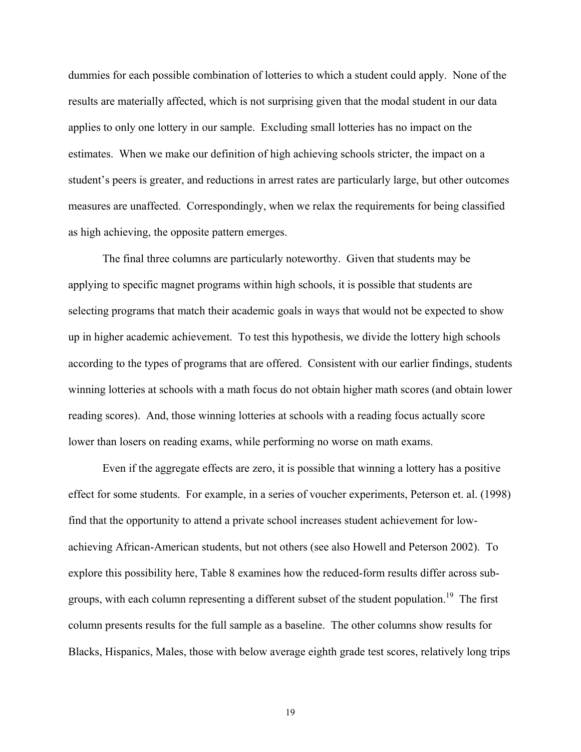dummies for each possible combination of lotteries to which a student could apply. None of the results are materially affected, which is not surprising given that the modal student in our data applies to only one lottery in our sample. Excluding small lotteries has no impact on the estimates. When we make our definition of high achieving schools stricter, the impact on a student's peers is greater, and reductions in arrest rates are particularly large, but other outcomes measures are unaffected. Correspondingly, when we relax the requirements for being classified as high achieving, the opposite pattern emerges.

The final three columns are particularly noteworthy. Given that students may be applying to specific magnet programs within high schools, it is possible that students are selecting programs that match their academic goals in ways that would not be expected to show up in higher academic achievement. To test this hypothesis, we divide the lottery high schools according to the types of programs that are offered. Consistent with our earlier findings, students winning lotteries at schools with a math focus do not obtain higher math scores (and obtain lower reading scores). And, those winning lotteries at schools with a reading focus actually score lower than losers on reading exams, while performing no worse on math exams.

Even if the aggregate effects are zero, it is possible that winning a lottery has a positive effect for some students. For example, in a series of voucher experiments, Peterson et. al. (1998) find that the opportunity to attend a private school increases student achievement for lowachieving African-American students, but not others (see also Howell and Peterson 2002). To explore this possibility here, Table 8 examines how the reduced-form results differ across subgroups, with each column representing a different subset of the student population.<sup>19</sup> The first column presents results for the full sample as a baseline. The other columns show results for Blacks, Hispanics, Males, those with below average eighth grade test scores, relatively long trips

19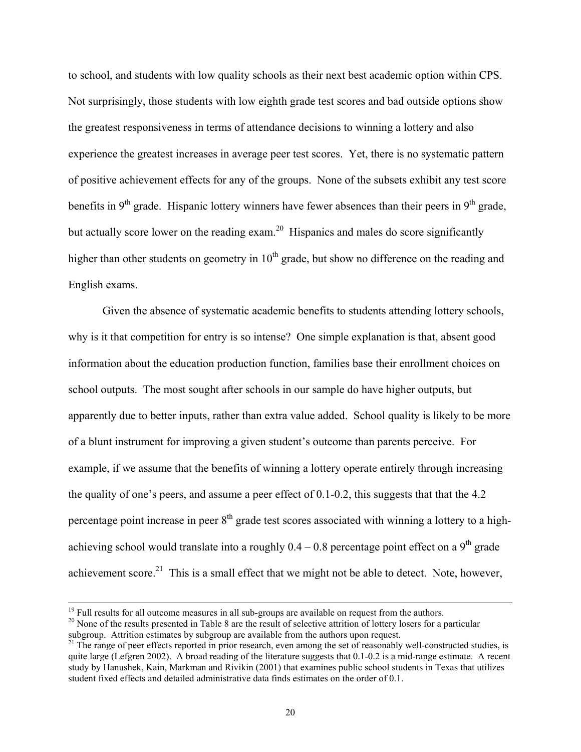to school, and students with low quality schools as their next best academic option within CPS. Not surprisingly, those students with low eighth grade test scores and bad outside options show the greatest responsiveness in terms of attendance decisions to winning a lottery and also experience the greatest increases in average peer test scores. Yet, there is no systematic pattern of positive achievement effects for any of the groups. None of the subsets exhibit any test score benefits in 9<sup>th</sup> grade. Hispanic lottery winners have fewer absences than their peers in 9<sup>th</sup> grade, but actually score lower on the reading exam.<sup>20</sup> Hispanics and males do score significantly higher than other students on geometry in  $10<sup>th</sup>$  grade, but show no difference on the reading and English exams.

Given the absence of systematic academic benefits to students attending lottery schools, why is it that competition for entry is so intense? One simple explanation is that, absent good information about the education production function, families base their enrollment choices on school outputs. The most sought after schools in our sample do have higher outputs, but apparently due to better inputs, rather than extra value added. School quality is likely to be more of a blunt instrument for improving a given student's outcome than parents perceive. For example, if we assume that the benefits of winning a lottery operate entirely through increasing the quality of one's peers, and assume a peer effect of 0.1-0.2, this suggests that that the 4.2 percentage point increase in peer  $8<sup>th</sup>$  grade test scores associated with winning a lottery to a highachieving school would translate into a roughly  $0.4 - 0.8$  percentage point effect on a 9<sup>th</sup> grade achievement score.<sup>21</sup> This is a small effect that we might not be able to detect. Note, however,

<sup>&</sup>lt;sup>19</sup> Full results for all outcome measures in all sub-groups are available on request from the authors.

<sup>&</sup>lt;sup>20</sup> None of the results presented in Table 8 are the result of selective attrition of lottery losers for a particular subgroup. Attrition estimates by subgroup are available from the authors upon request.<br><sup>21</sup> The range of peer effects reported in prior research, even among the set of reasonably well-constructed studies, is

quite large (Lefgren 2002). A broad reading of the literature suggests that  $0.1$ -0.2 is a mid-range estimate. A recent study by Hanushek, Kain, Markman and Rivikin (2001) that examines public school students in Texas that utilizes student fixed effects and detailed administrative data finds estimates on the order of 0.1.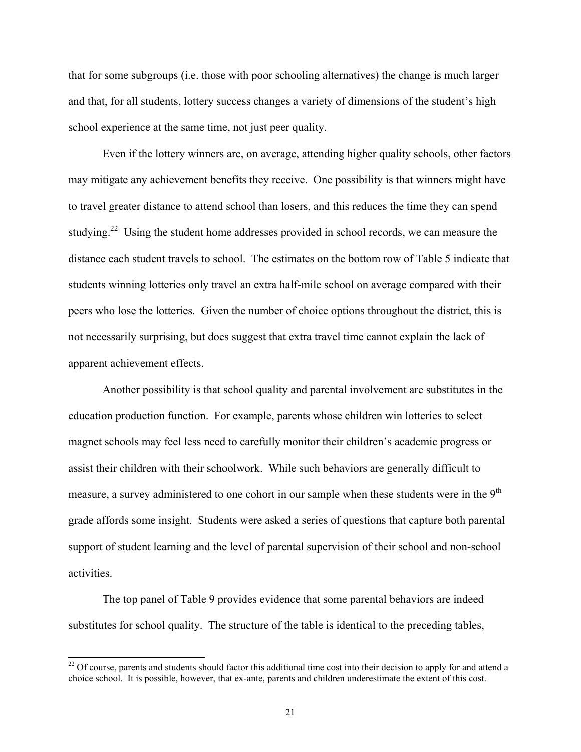that for some subgroups (i.e. those with poor schooling alternatives) the change is much larger and that, for all students, lottery success changes a variety of dimensions of the student's high school experience at the same time, not just peer quality.

Even if the lottery winners are, on average, attending higher quality schools, other factors may mitigate any achievement benefits they receive. One possibility is that winners might have to travel greater distance to attend school than losers, and this reduces the time they can spend studying.<sup>22</sup> Using the student home addresses provided in school records, we can measure the distance each student travels to school. The estimates on the bottom row of Table 5 indicate that students winning lotteries only travel an extra half-mile school on average compared with their peers who lose the lotteries. Given the number of choice options throughout the district, this is not necessarily surprising, but does suggest that extra travel time cannot explain the lack of apparent achievement effects.

Another possibility is that school quality and parental involvement are substitutes in the education production function. For example, parents whose children win lotteries to select magnet schools may feel less need to carefully monitor their children's academic progress or assist their children with their schoolwork. While such behaviors are generally difficult to measure, a survey administered to one cohort in our sample when these students were in the  $9<sup>th</sup>$ grade affords some insight. Students were asked a series of questions that capture both parental support of student learning and the level of parental supervision of their school and non-school activities.

The top panel of Table 9 provides evidence that some parental behaviors are indeed substitutes for school quality. The structure of the table is identical to the preceding tables,

 $22$  Of course, parents and students should factor this additional time cost into their decision to apply for and attend a choice school. It is possible, however, that ex-ante, parents and children underestimate the extent of this cost.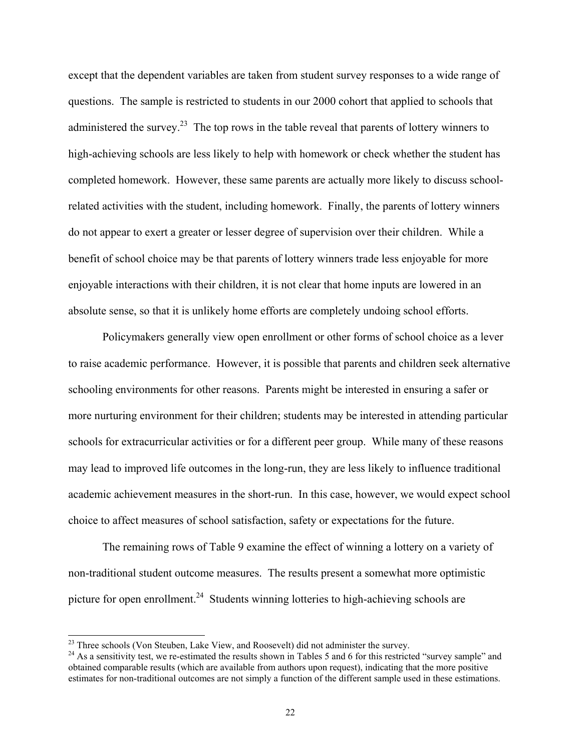except that the dependent variables are taken from student survey responses to a wide range of questions. The sample is restricted to students in our 2000 cohort that applied to schools that administered the survey.<sup>23</sup> The top rows in the table reveal that parents of lottery winners to high-achieving schools are less likely to help with homework or check whether the student has completed homework. However, these same parents are actually more likely to discuss schoolrelated activities with the student, including homework. Finally, the parents of lottery winners do not appear to exert a greater or lesser degree of supervision over their children. While a benefit of school choice may be that parents of lottery winners trade less enjoyable for more enjoyable interactions with their children, it is not clear that home inputs are lowered in an absolute sense, so that it is unlikely home efforts are completely undoing school efforts.

Policymakers generally view open enrollment or other forms of school choice as a lever to raise academic performance. However, it is possible that parents and children seek alternative schooling environments for other reasons. Parents might be interested in ensuring a safer or more nurturing environment for their children; students may be interested in attending particular schools for extracurricular activities or for a different peer group. While many of these reasons may lead to improved life outcomes in the long-run, they are less likely to influence traditional academic achievement measures in the short-run. In this case, however, we would expect school choice to affect measures of school satisfaction, safety or expectations for the future.

The remaining rows of Table 9 examine the effect of winning a lottery on a variety of non-traditional student outcome measures. The results present a somewhat more optimistic picture for open enrollment.<sup>24</sup> Students winning lotteries to high-achieving schools are

 $^{23}$  Three schools (Von Steuben, Lake View, and Roosevelt) did not administer the survey.

 $24$  As a sensitivity test, we re-estimated the results shown in Tables 5 and 6 for this restricted "survey sample" and obtained comparable results (which are available from authors upon request), indicating that the more positive estimates for non-traditional outcomes are not simply a function of the different sample used in these estimations.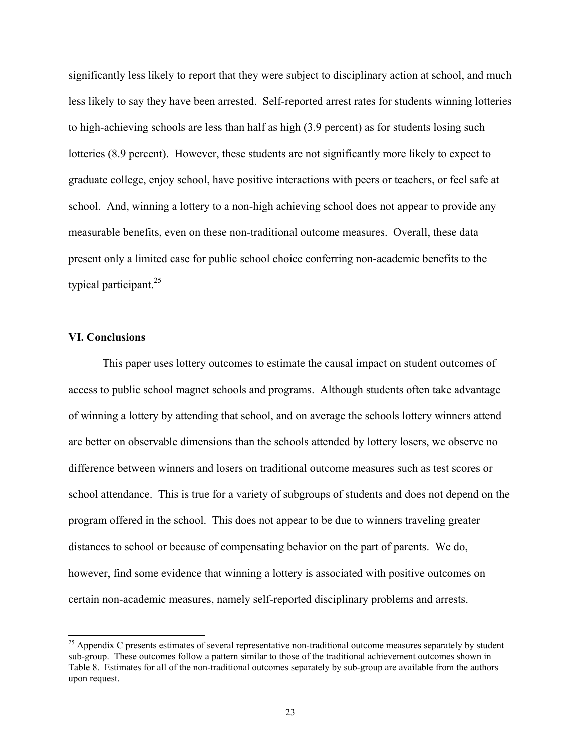significantly less likely to report that they were subject to disciplinary action at school, and much less likely to say they have been arrested. Self-reported arrest rates for students winning lotteries to high-achieving schools are less than half as high (3.9 percent) as for students losing such lotteries (8.9 percent). However, these students are not significantly more likely to expect to graduate college, enjoy school, have positive interactions with peers or teachers, or feel safe at school. And, winning a lottery to a non-high achieving school does not appear to provide any measurable benefits, even on these non-traditional outcome measures. Overall, these data present only a limited case for public school choice conferring non-academic benefits to the typical participant.25

#### **VI. Conclusions**

 $\overline{a}$ 

This paper uses lottery outcomes to estimate the causal impact on student outcomes of access to public school magnet schools and programs. Although students often take advantage of winning a lottery by attending that school, and on average the schools lottery winners attend are better on observable dimensions than the schools attended by lottery losers, we observe no difference between winners and losers on traditional outcome measures such as test scores or school attendance. This is true for a variety of subgroups of students and does not depend on the program offered in the school. This does not appear to be due to winners traveling greater distances to school or because of compensating behavior on the part of parents. We do, however, find some evidence that winning a lottery is associated with positive outcomes on certain non-academic measures, namely self-reported disciplinary problems and arrests.

 $^{25}$  Appendix C presents estimates of several representative non-traditional outcome measures separately by student sub-group. These outcomes follow a pattern similar to those of the traditional achievement outcomes shown in Table 8. Estimates for all of the non-traditional outcomes separately by sub-group are available from the authors upon request.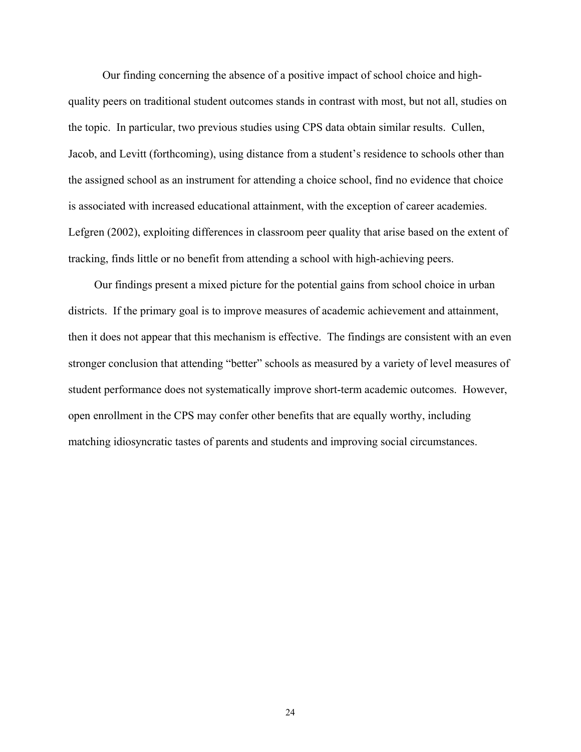Our finding concerning the absence of a positive impact of school choice and highquality peers on traditional student outcomes stands in contrast with most, but not all, studies on the topic. In particular, two previous studies using CPS data obtain similar results. Cullen, Jacob, and Levitt (forthcoming), using distance from a student's residence to schools other than the assigned school as an instrument for attending a choice school, find no evidence that choice is associated with increased educational attainment, with the exception of career academies. Lefgren (2002), exploiting differences in classroom peer quality that arise based on the extent of tracking, finds little or no benefit from attending a school with high-achieving peers.

Our findings present a mixed picture for the potential gains from school choice in urban districts. If the primary goal is to improve measures of academic achievement and attainment, then it does not appear that this mechanism is effective. The findings are consistent with an even stronger conclusion that attending "better" schools as measured by a variety of level measures of student performance does not systematically improve short-term academic outcomes. However, open enrollment in the CPS may confer other benefits that are equally worthy, including matching idiosyncratic tastes of parents and students and improving social circumstances.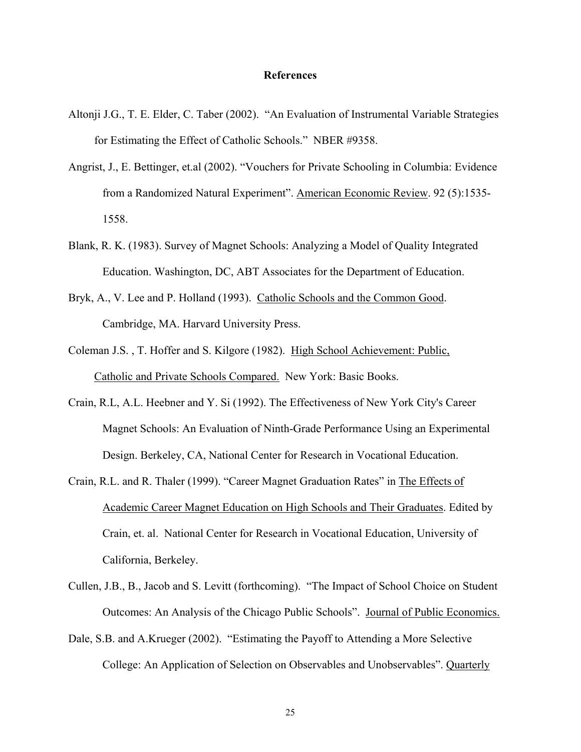#### **References**

- Altonji J.G., T. E. Elder, C. Taber (2002). "An Evaluation of Instrumental Variable Strategies for Estimating the Effect of Catholic Schools." NBER #9358.
- Angrist, J., E. Bettinger, et.al (2002). "Vouchers for Private Schooling in Columbia: Evidence from a Randomized Natural Experiment". American Economic Review. 92 (5):1535- 1558.
- Blank, R. K. (1983). Survey of Magnet Schools: Analyzing a Model of Quality Integrated Education. Washington, DC, ABT Associates for the Department of Education.
- Bryk, A., V. Lee and P. Holland (1993). Catholic Schools and the Common Good. Cambridge, MA. Harvard University Press.
- Coleman J.S. , T. Hoffer and S. Kilgore (1982). High School Achievement: Public, Catholic and Private Schools Compared. New York: Basic Books.
- Crain, R.L, A.L. Heebner and Y. Si (1992). The Effectiveness of New York City's Career Magnet Schools: An Evaluation of Ninth-Grade Performance Using an Experimental Design. Berkeley, CA, National Center for Research in Vocational Education.
- Crain, R.L. and R. Thaler (1999). "Career Magnet Graduation Rates" in The Effects of Academic Career Magnet Education on High Schools and Their Graduates. Edited by Crain, et. al. National Center for Research in Vocational Education, University of California, Berkeley.
- Cullen, J.B., B., Jacob and S. Levitt (forthcoming). "The Impact of School Choice on Student Outcomes: An Analysis of the Chicago Public Schools". Journal of Public Economics.
- Dale, S.B. and A.Krueger (2002). "Estimating the Payoff to Attending a More Selective College: An Application of Selection on Observables and Unobservables". Quarterly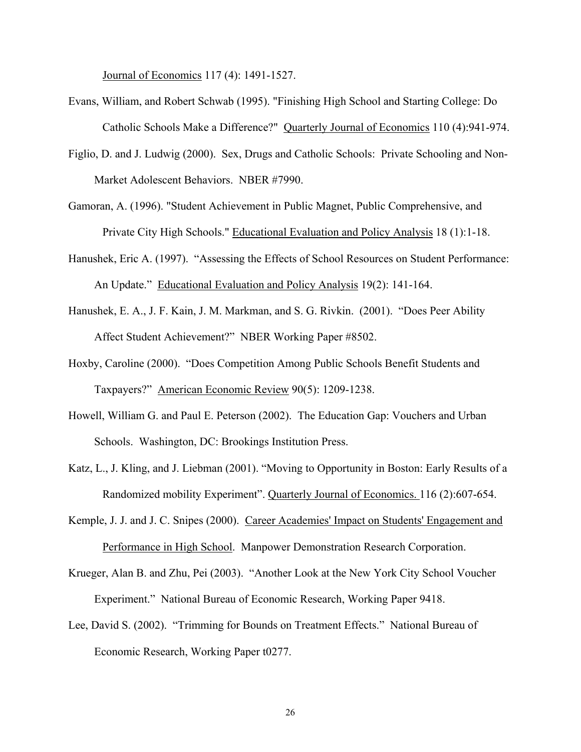Journal of Economics 117 (4): 1491-1527.

- Evans, William, and Robert Schwab (1995). "Finishing High School and Starting College: Do Catholic Schools Make a Difference?" Quarterly Journal of Economics 110 (4):941-974.
- Figlio, D. and J. Ludwig (2000). Sex, Drugs and Catholic Schools: Private Schooling and Non-Market Adolescent Behaviors. NBER #7990.
- Gamoran, A. (1996). "Student Achievement in Public Magnet, Public Comprehensive, and Private City High Schools." Educational Evaluation and Policy Analysis 18 (1):1-18.
- Hanushek, Eric A. (1997). "Assessing the Effects of School Resources on Student Performance: An Update." Educational Evaluation and Policy Analysis 19(2): 141-164.
- Hanushek, E. A., J. F. Kain, J. M. Markman, and S. G. Rivkin. (2001). "Does Peer Ability Affect Student Achievement?" NBER Working Paper #8502.
- Hoxby, Caroline (2000). "Does Competition Among Public Schools Benefit Students and Taxpayers?" American Economic Review 90(5): 1209-1238.
- Howell, William G. and Paul E. Peterson (2002). The Education Gap: Vouchers and Urban Schools. Washington, DC: Brookings Institution Press.
- Katz, L., J. Kling, and J. Liebman (2001). "Moving to Opportunity in Boston: Early Results of a Randomized mobility Experiment". Quarterly Journal of Economics. 116 (2):607-654.
- Kemple, J. J. and J. C. Snipes (2000). Career Academies' Impact on Students' Engagement and Performance in High School. Manpower Demonstration Research Corporation.
- Krueger, Alan B. and Zhu, Pei (2003). "Another Look at the New York City School Voucher Experiment." National Bureau of Economic Research, Working Paper 9418.
- Lee, David S. (2002). "Trimming for Bounds on Treatment Effects." National Bureau of Economic Research, Working Paper t0277.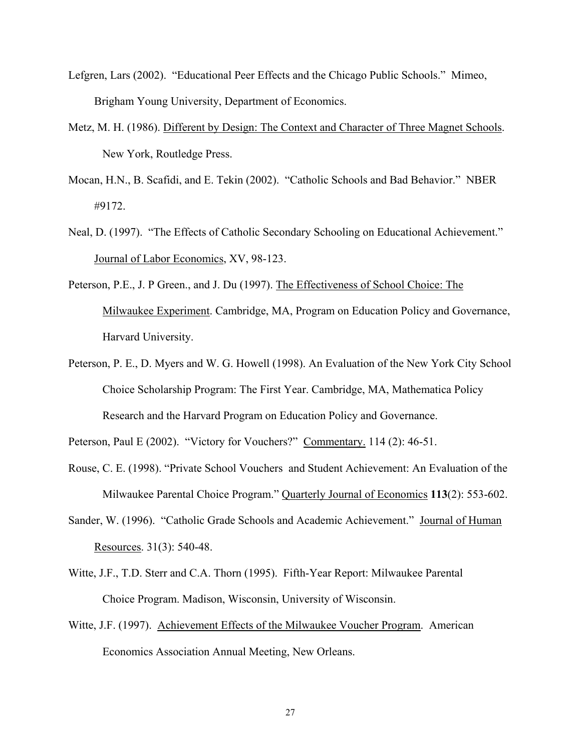- Lefgren, Lars (2002). "Educational Peer Effects and the Chicago Public Schools." Mimeo, Brigham Young University, Department of Economics.
- Metz, M. H. (1986). Different by Design: The Context and Character of Three Magnet Schools. New York, Routledge Press.
- Mocan, H.N., B. Scafidi, and E. Tekin (2002). "Catholic Schools and Bad Behavior." NBER #9172.
- Neal, D. (1997). "The Effects of Catholic Secondary Schooling on Educational Achievement." Journal of Labor Economics, XV, 98-123.
- Peterson, P.E., J. P Green., and J. Du (1997). The Effectiveness of School Choice: The Milwaukee Experiment. Cambridge, MA, Program on Education Policy and Governance, Harvard University.
- Peterson, P. E., D. Myers and W. G. Howell (1998). An Evaluation of the New York City School Choice Scholarship Program: The First Year. Cambridge, MA, Mathematica Policy Research and the Harvard Program on Education Policy and Governance.

Peterson, Paul E (2002). "Victory for Vouchers?" Commentary. 114 (2): 46-51.

- Rouse, C. E. (1998). "Private School Vouchers and Student Achievement: An Evaluation of the Milwaukee Parental Choice Program." Quarterly Journal of Economics **113**(2): 553-602.
- Sander, W. (1996). "Catholic Grade Schools and Academic Achievement." Journal of Human Resources. 31(3): 540-48.
- Witte, J.F., T.D. Sterr and C.A. Thorn (1995). Fifth-Year Report: Milwaukee Parental Choice Program. Madison, Wisconsin, University of Wisconsin.
- Witte, J.F. (1997). Achievement Effects of the Milwaukee Voucher Program. American Economics Association Annual Meeting, New Orleans.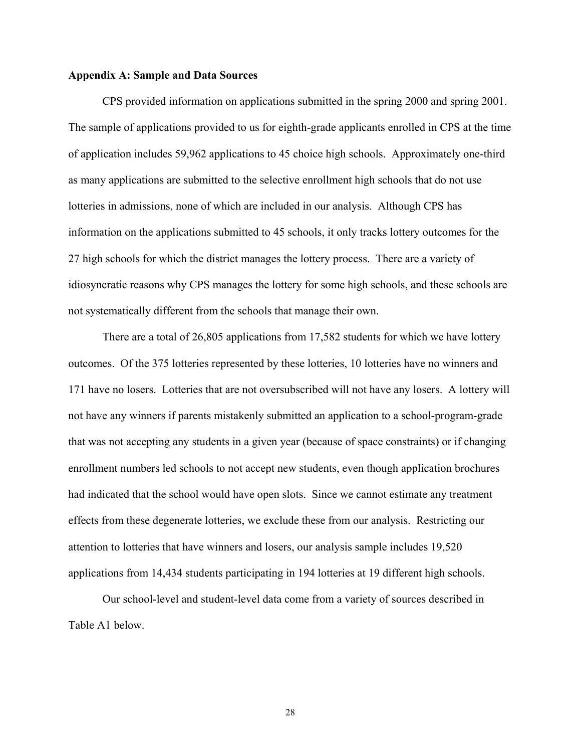#### **Appendix A: Sample and Data Sources**

CPS provided information on applications submitted in the spring 2000 and spring 2001. The sample of applications provided to us for eighth-grade applicants enrolled in CPS at the time of application includes 59,962 applications to 45 choice high schools. Approximately one-third as many applications are submitted to the selective enrollment high schools that do not use lotteries in admissions, none of which are included in our analysis. Although CPS has information on the applications submitted to 45 schools, it only tracks lottery outcomes for the 27 high schools for which the district manages the lottery process. There are a variety of idiosyncratic reasons why CPS manages the lottery for some high schools, and these schools are not systematically different from the schools that manage their own.

There are a total of 26,805 applications from 17,582 students for which we have lottery outcomes. Of the 375 lotteries represented by these lotteries, 10 lotteries have no winners and 171 have no losers. Lotteries that are not oversubscribed will not have any losers. A lottery will not have any winners if parents mistakenly submitted an application to a school-program-grade that was not accepting any students in a given year (because of space constraints) or if changing enrollment numbers led schools to not accept new students, even though application brochures had indicated that the school would have open slots. Since we cannot estimate any treatment effects from these degenerate lotteries, we exclude these from our analysis. Restricting our attention to lotteries that have winners and losers, our analysis sample includes 19,520 applications from 14,434 students participating in 194 lotteries at 19 different high schools.

Our school-level and student-level data come from a variety of sources described in Table A1 below.

28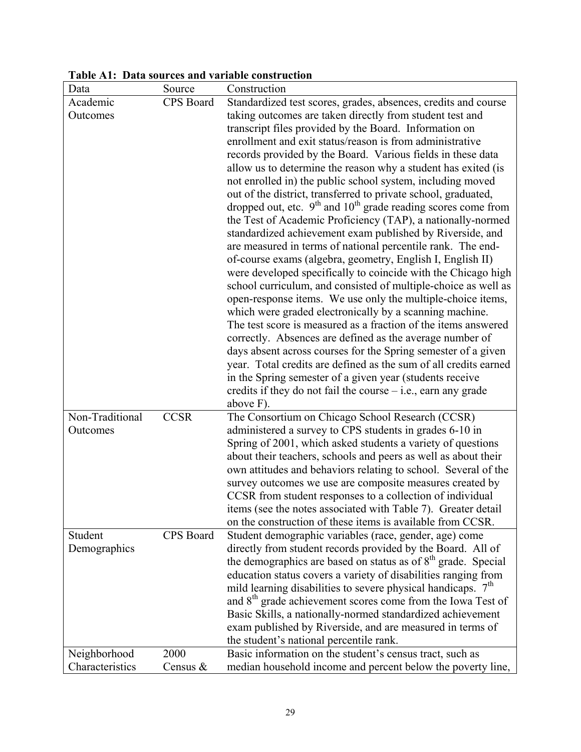| Data                            | Source           | Construction                                                                                                                  |
|---------------------------------|------------------|-------------------------------------------------------------------------------------------------------------------------------|
| Academic                        | CPS Board        | Standardized test scores, grades, absences, credits and course                                                                |
| Outcomes                        |                  | taking outcomes are taken directly from student test and                                                                      |
|                                 |                  | transcript files provided by the Board. Information on                                                                        |
|                                 |                  | enrollment and exit status/reason is from administrative                                                                      |
|                                 |                  | records provided by the Board. Various fields in these data                                                                   |
|                                 |                  | allow us to determine the reason why a student has exited (is                                                                 |
|                                 |                  | not enrolled in) the public school system, including moved                                                                    |
|                                 |                  | out of the district, transferred to private school, graduated,                                                                |
|                                 |                  | dropped out, etc. $9th$ and $10th$ grade reading scores come from                                                             |
|                                 |                  | the Test of Academic Proficiency (TAP), a nationally-normed<br>standardized achievement exam published by Riverside, and      |
|                                 |                  | are measured in terms of national percentile rank. The end-                                                                   |
|                                 |                  | of-course exams (algebra, geometry, English I, English II)                                                                    |
|                                 |                  | were developed specifically to coincide with the Chicago high                                                                 |
|                                 |                  | school curriculum, and consisted of multiple-choice as well as                                                                |
|                                 |                  | open-response items. We use only the multiple-choice items,                                                                   |
|                                 |                  | which were graded electronically by a scanning machine.                                                                       |
|                                 |                  | The test score is measured as a fraction of the items answered                                                                |
|                                 |                  | correctly. Absences are defined as the average number of                                                                      |
|                                 |                  | days absent across courses for the Spring semester of a given                                                                 |
|                                 |                  | year. Total credits are defined as the sum of all credits earned                                                              |
|                                 |                  | in the Spring semester of a given year (students receive                                                                      |
|                                 |                  | credits if they do not fail the course $-$ i.e., earn any grade                                                               |
|                                 |                  | above F).                                                                                                                     |
| Non-Traditional                 | <b>CCSR</b>      | The Consortium on Chicago School Research (CCSR)                                                                              |
| Outcomes                        |                  | administered a survey to CPS students in grades 6-10 in                                                                       |
|                                 |                  | Spring of 2001, which asked students a variety of questions<br>about their teachers, schools and peers as well as about their |
|                                 |                  | own attitudes and behaviors relating to school. Several of the                                                                |
|                                 |                  | survey outcomes we use are composite measures created by                                                                      |
|                                 |                  | CCSR from student responses to a collection of individual                                                                     |
|                                 |                  | items (see the notes associated with Table 7). Greater detail                                                                 |
|                                 |                  | on the construction of these items is available from CCSR.                                                                    |
| Student                         | <b>CPS</b> Board | Student demographic variables (race, gender, age) come                                                                        |
| Demographics                    |                  | directly from student records provided by the Board. All of                                                                   |
|                                 |                  | the demographics are based on status as of $8th$ grade. Special                                                               |
|                                 |                  | education status covers a variety of disabilities ranging from                                                                |
|                                 |                  | mild learning disabilities to severe physical handicaps. 7 <sup>th</sup>                                                      |
|                                 |                  | and 8 <sup>th</sup> grade achievement scores come from the Iowa Test of                                                       |
|                                 |                  | Basic Skills, a nationally-normed standardized achievement                                                                    |
|                                 |                  | exam published by Riverside, and are measured in terms of                                                                     |
|                                 | 2000             | the student's national percentile rank.                                                                                       |
| Neighborhood<br>Characteristics | Census &         | Basic information on the student's census tract, such as<br>median household income and percent below the poverty line,       |
|                                 |                  |                                                                                                                               |

**Table A1: Data sources and variable construction**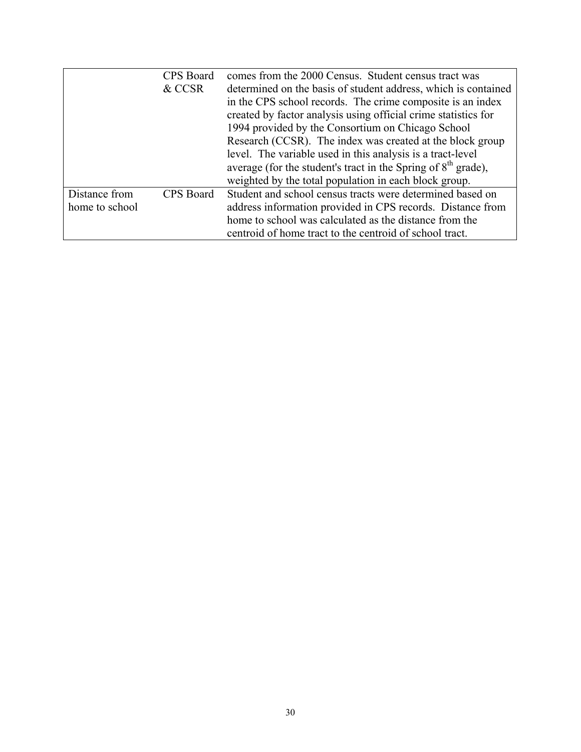|                | CPS Board | comes from the 2000 Census. Student census tract was            |
|----------------|-----------|-----------------------------------------------------------------|
|                | & CCSR    | determined on the basis of student address, which is contained  |
|                |           | in the CPS school records. The crime composite is an index      |
|                |           | created by factor analysis using official crime statistics for  |
|                |           | 1994 provided by the Consortium on Chicago School               |
|                |           | Research (CCSR). The index was created at the block group       |
|                |           | level. The variable used in this analysis is a tract-level      |
|                |           | average (for the student's tract in the Spring of $8th$ grade), |
|                |           | weighted by the total population in each block group.           |
| Distance from  | CPS Board | Student and school census tracts were determined based on       |
| home to school |           | address information provided in CPS records. Distance from      |
|                |           | home to school was calculated as the distance from the          |
|                |           | centroid of home tract to the centroid of school tract.         |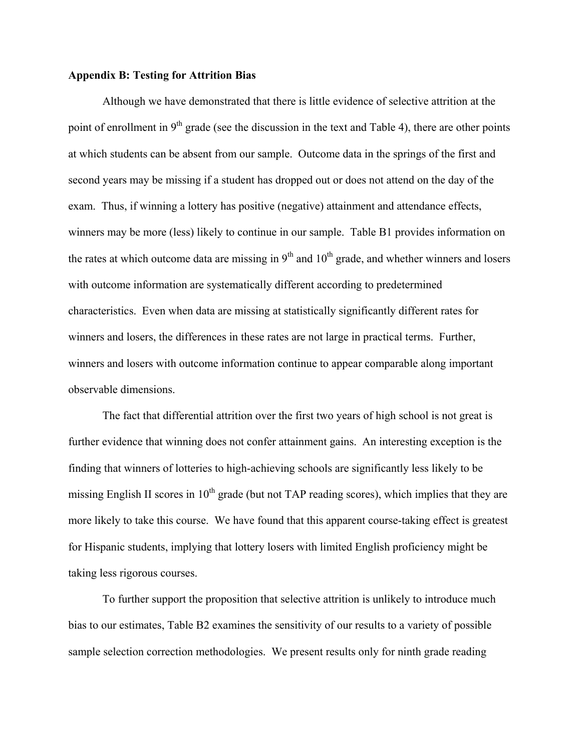#### **Appendix B: Testing for Attrition Bias**

 Although we have demonstrated that there is little evidence of selective attrition at the point of enrollment in  $9<sup>th</sup>$  grade (see the discussion in the text and Table 4), there are other points at which students can be absent from our sample. Outcome data in the springs of the first and second years may be missing if a student has dropped out or does not attend on the day of the exam. Thus, if winning a lottery has positive (negative) attainment and attendance effects, winners may be more (less) likely to continue in our sample. Table B1 provides information on the rates at which outcome data are missing in  $9<sup>th</sup>$  and  $10<sup>th</sup>$  grade, and whether winners and losers with outcome information are systematically different according to predetermined characteristics. Even when data are missing at statistically significantly different rates for winners and losers, the differences in these rates are not large in practical terms. Further, winners and losers with outcome information continue to appear comparable along important observable dimensions.

The fact that differential attrition over the first two years of high school is not great is further evidence that winning does not confer attainment gains. An interesting exception is the finding that winners of lotteries to high-achieving schools are significantly less likely to be missing English II scores in  $10<sup>th</sup>$  grade (but not TAP reading scores), which implies that they are more likely to take this course. We have found that this apparent course-taking effect is greatest for Hispanic students, implying that lottery losers with limited English proficiency might be taking less rigorous courses.

To further support the proposition that selective attrition is unlikely to introduce much bias to our estimates, Table B2 examines the sensitivity of our results to a variety of possible sample selection correction methodologies. We present results only for ninth grade reading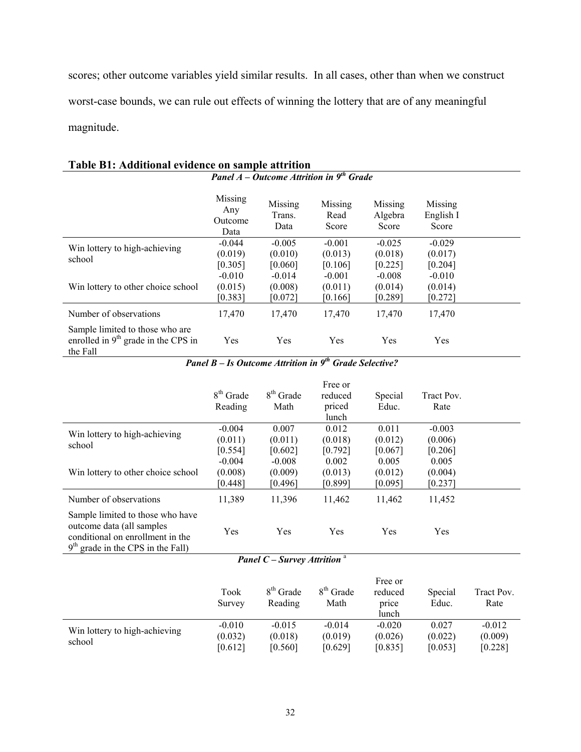scores; other outcome variables yield similar results. In all cases, other than when we construct worst-case bounds, we can rule out effects of winning the lottery that are of any meaningful magnitude.

|                                                                                      | Missing<br>Any<br>Outcome<br>Data | Missing<br>Trans.<br>Data | Missing<br>Read<br>Score | Missing<br>Algebra<br>Score | Missing<br>English I<br>Score |  |
|--------------------------------------------------------------------------------------|-----------------------------------|---------------------------|--------------------------|-----------------------------|-------------------------------|--|
| Win lottery to high-achieving                                                        | $-0.044$                          | $-0.005$                  | $-0.001$                 | $-0.025$                    | $-0.029$                      |  |
| school                                                                               | (0.019)                           | (0.010)                   | (0.013)                  | (0.018)                     | (0.017)                       |  |
|                                                                                      | [0.305]                           | [0.060]                   | [0.106]                  | [0.225]                     | [0.204]                       |  |
|                                                                                      | $-0.010$                          | $-0.014$                  | $-0.001$                 | $-0.008$                    | $-0.010$                      |  |
| Win lottery to other choice school                                                   | (0.015)                           | (0.008)                   | (0.011)                  | (0.014)                     | (0.014)                       |  |
|                                                                                      | [0.383]                           | [0.072]                   | [0.166]                  | [0.289]                     | $[0.272]$                     |  |
| Number of observations                                                               | 17,470                            | 17,470                    | 17,470                   | 17,470                      | 17,470                        |  |
| Sample limited to those who are<br>enrolled in $9th$ grade in the CPS in<br>the Fall | <b>Yes</b>                        | Yes                       | <b>Yes</b>               | Yes                         | Yes                           |  |

#### **Table B1: Additional evidence on sample attrition**  *Panel A – Outcome Attrition in 9th Grade*

*Panel B – Is Outcome Attrition in 9th Grade Selective?* 

|                                                                                                                                          | $8th$ Grade<br>Reading | $8th$ Grade<br>Math | Free or<br>reduced<br>priced<br>lunch | Special<br>Educ. | Tract Pov.<br>Rate |  |
|------------------------------------------------------------------------------------------------------------------------------------------|------------------------|---------------------|---------------------------------------|------------------|--------------------|--|
| Win lottery to high-achieving                                                                                                            | $-0.004$               | 0.007               | 0.012                                 | 0.011            | $-0.003$           |  |
| school                                                                                                                                   | (0.011)                | (0.011)             | (0.018)                               | (0.012)          | (0.006)            |  |
|                                                                                                                                          | [0.554]                | [0.602]             | [0.792]                               | [0.067]          | [0.206]            |  |
|                                                                                                                                          | $-0.004$               | $-0.008$            | 0.002                                 | 0.005            | 0.005              |  |
| Win lottery to other choice school                                                                                                       | (0.008)                | (0.009)             | (0.013)                               | (0.012)          | (0.004)            |  |
|                                                                                                                                          | [0.448]                | [0.496]             | [0.899]                               | [0.095]          | [0.237]            |  |
| Number of observations                                                                                                                   | 11,389                 | 11,396              | 11,462                                | 11,462           | 11,452             |  |
| Sample limited to those who have<br>outcome data (all samples<br>conditional on enrollment in the<br>$9th$ grade in the CPS in the Fall) | Yes                    | Yes                 | Yes                                   | Yes              | Yes                |  |

## *Panel C – Survey Attrition* <sup>a</sup>

|                                         | Took<br>Survey | 8 <sup>th</sup> Grade<br>Reading | $8th$ Grade<br>Math | Free or<br>reduced<br>price<br>lunch | Special<br>Educ. | Tract Pov.<br>Rate |
|-----------------------------------------|----------------|----------------------------------|---------------------|--------------------------------------|------------------|--------------------|
|                                         | $-0.010$       | $-0.015$                         | $-0.014$            | $-0.020$                             | 0.027            | $-0.012$           |
| Win lottery to high-achieving<br>school | (0.032)        | (0.018)                          | (0.019)             | (0.026)                              | (0.022)          | (0.009)            |
|                                         | [0.612]        | [0.560]                          | [0.629]             | [0.835]                              | [0.053]          | [0.228]            |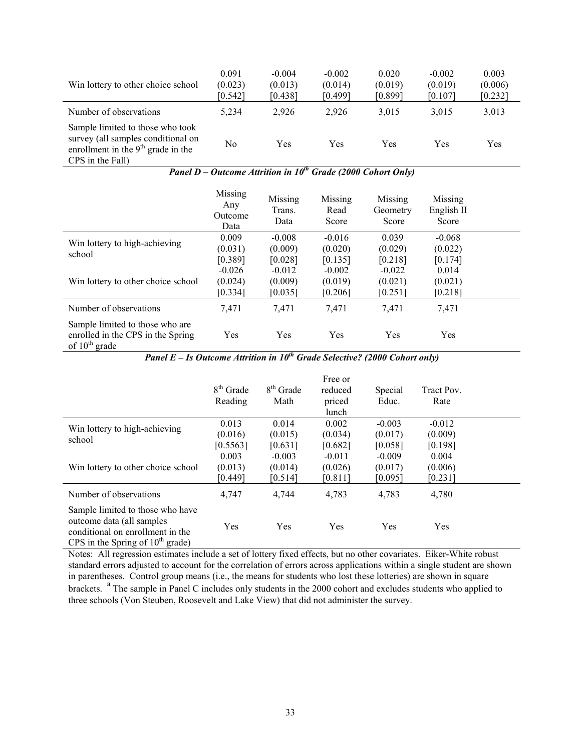| Win lottery to other choice school                                                                                                 | 0.091<br>(0.023)<br>[0.542] | $-0.004$<br>(0.013)<br>[0.438] | $-0.002$<br>(0.014)<br>[0.499] | 0.020<br>(0.019)<br>[0.899] | $-0.002$<br>(0.019)<br>[0.107] | 0.003<br>(0.006)<br>[0.232] |
|------------------------------------------------------------------------------------------------------------------------------------|-----------------------------|--------------------------------|--------------------------------|-----------------------------|--------------------------------|-----------------------------|
| Number of observations                                                                                                             | 5,234                       | 2,926                          | 2,926                          | 3,015                       | 3,015                          | 3,013                       |
| Sample limited to those who took<br>survey (all samples conditional on<br>enrollment in the $9th$ grade in the<br>CPS in the Fall) | No                          | Yes                            | Yes                            | Yes                         | Yes                            | Yes                         |

*Panel D – Outcome Attrition in 10<sup>th</sup> Grade (2000 Cohort Only)* 

|                                                                                            | Missing<br>Any<br>Outcome<br>Data | Missing<br>Trans.<br>Data | Missing<br>Read<br>Score | Missing<br>Geometry<br>Score | Missing<br>English II<br>Score |  |
|--------------------------------------------------------------------------------------------|-----------------------------------|---------------------------|--------------------------|------------------------------|--------------------------------|--|
| Win lottery to high-achieving                                                              | 0.009                             | $-0.008$                  | $-0.016$                 | 0.039                        | $-0.068$                       |  |
| school                                                                                     | (0.031)                           | (0.009)                   | (0.020)                  | (0.029)                      | (0.022)                        |  |
|                                                                                            | [0.389]                           | [0.028]                   | [0.135]                  | [0.218]                      | [0.174]                        |  |
|                                                                                            | $-0.026$                          | $-0.012$                  | $-0.002$                 | $-0.022$                     | 0.014                          |  |
| Win lottery to other choice school                                                         | (0.024)                           | (0.009)                   | (0.019)                  | (0.021)                      | (0.021)                        |  |
|                                                                                            | [0.334]                           | [0.035]                   | [0.206]                  | [0.251]                      | [0.218]                        |  |
| Number of observations                                                                     | 7,471                             | 7,471                     | 7,471                    | 7,471                        | 7.471                          |  |
| Sample limited to those who are<br>enrolled in the CPS in the Spring<br>of $10^{th}$ grade | Yes                               | Yes                       | Yes                      | Yes                          | Yes                            |  |

*Panel E – Is Outcome Attrition in 10th Grade Selective? (2000 Cohort only)* 

|                                                                                                                                          | $8th$ Grade<br>Reading | $8th$ Grade<br>Math | Free or<br>reduced<br>priced<br>lunch | Special<br>Educ. | Tract Pov.<br>Rate |  |
|------------------------------------------------------------------------------------------------------------------------------------------|------------------------|---------------------|---------------------------------------|------------------|--------------------|--|
| Win lottery to high-achieving                                                                                                            | 0.013                  | 0.014               | 0.002                                 | $-0.003$         | $-0.012$           |  |
| school                                                                                                                                   | (0.016)                | (0.015)             | (0.034)                               | (0.017)          | (0.009)            |  |
|                                                                                                                                          | [0.5563]               | [0.631]             | [0.682]                               | [0.058]          | [0.198]            |  |
|                                                                                                                                          | 0.003                  | $-0.003$            | $-0.011$                              | $-0.009$         | 0.004              |  |
| Win lottery to other choice school                                                                                                       | (0.013)                | (0.014)             | (0.026)                               | (0.017)          | (0.006)            |  |
|                                                                                                                                          | [0.449]                | [0.514]             | [0.811]                               | [0.095]          | [0.231]            |  |
| Number of observations                                                                                                                   | 4,747                  | 4,744               | 4,783                                 | 4,783            | 4,780              |  |
| Sample limited to those who have<br>outcome data (all samples)<br>conditional on enrollment in the<br>CPS in the Spring of $10th$ grade) | Yes                    | <b>Yes</b>          | Yes                                   | Yes              | Yes                |  |

Notes: All regression estimates include a set of lottery fixed effects, but no other covariates. Eiker-White robust standard errors adjusted to account for the correlation of errors across applications within a single student are shown in parentheses. Control group means (i.e., the means for students who lost these lotteries) are shown in square brackets. <sup>a</sup> The sample in Panel C includes only students in the 2000 cohort and excludes students who applied to three schools (Von Steuben, Roosevelt and Lake View) that did not administer the survey.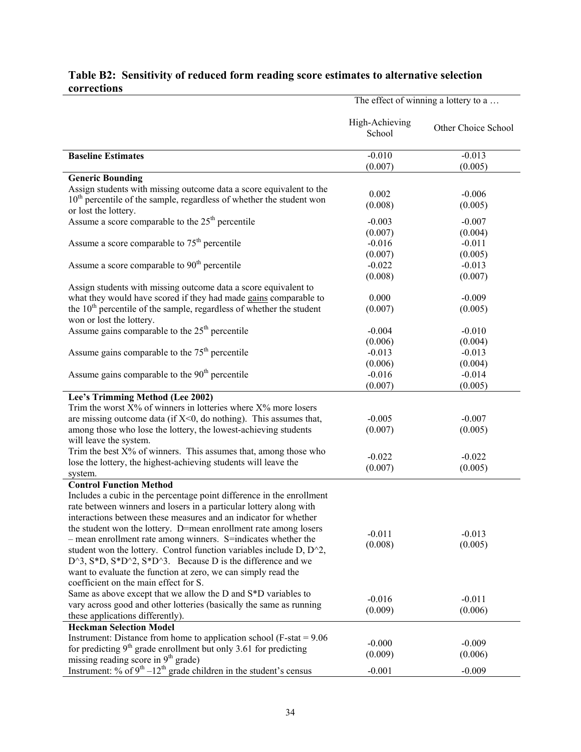|             | Table B2: Sensitivity of reduced form reading score estimates to alternative selection |
|-------------|----------------------------------------------------------------------------------------|
| corrections |                                                                                        |

|                                                                                                    |                          | The effect of winning a lottery to a |
|----------------------------------------------------------------------------------------------------|--------------------------|--------------------------------------|
|                                                                                                    | High-Achieving<br>School | Other Choice School                  |
| <b>Baseline Estimates</b>                                                                          | $-0.010$                 | $-0.013$                             |
|                                                                                                    | (0.007)                  | (0.005)                              |
| <b>Generic Bounding</b>                                                                            |                          |                                      |
| Assign students with missing outcome data a score equivalent to the                                | 0.002                    | $-0.006$                             |
| $10th$ percentile of the sample, regardless of whether the student won                             | (0.008)                  | (0.005)                              |
| or lost the lottery.                                                                               |                          |                                      |
| Assume a score comparable to the $25th$ percentile                                                 | $-0.003$                 | $-0.007$                             |
|                                                                                                    | (0.007)                  | (0.004)                              |
| Assume a score comparable to $75th$ percentile                                                     | $-0.016$                 | $-0.011$                             |
|                                                                                                    | (0.007)                  | (0.005)                              |
| Assume a score comparable to 90 <sup>th</sup> percentile                                           | $-0.022$                 | $-0.013$                             |
|                                                                                                    | (0.008)                  | (0.007)                              |
| Assign students with missing outcome data a score equivalent to                                    |                          |                                      |
| what they would have scored if they had made gains comparable to                                   | 0.000                    | $-0.009$                             |
| the $10th$ percentile of the sample, regardless of whether the student<br>won or lost the lottery. | (0.007)                  | (0.005)                              |
| Assume gains comparable to the $25th$ percentile                                                   | $-0.004$                 | $-0.010$                             |
|                                                                                                    | (0.006)                  | (0.004)                              |
| Assume gains comparable to the $75th$ percentile                                                   | $-0.013$                 | $-0.013$                             |
|                                                                                                    | (0.006)                  | (0.004)                              |
| Assume gains comparable to the 90 <sup>th</sup> percentile                                         | $-0.016$                 | $-0.014$                             |
|                                                                                                    | (0.007)                  | (0.005)                              |
| Lee's Trimming Method (Lee 2002)                                                                   |                          |                                      |
| Trim the worst $X\%$ of winners in lotteries where $X\%$ more losers                               |                          |                                      |
| are missing outcome data (if $X<0$ , do nothing). This assumes that,                               | $-0.005$                 | $-0.007$                             |
| among those who lose the lottery, the lowest-achieving students                                    | (0.007)                  | (0.005)                              |
| will leave the system.                                                                             |                          |                                      |
| Trim the best $X\%$ of winners. This assumes that, among those who                                 |                          |                                      |
| lose the lottery, the highest-achieving students will leave the                                    | $-0.022$                 | $-0.022$                             |
| system.                                                                                            | (0.007)                  | (0.005)                              |
| <b>Control Function Method</b>                                                                     |                          |                                      |
| Includes a cubic in the percentage point difference in the enrollment                              |                          |                                      |
| rate between winners and losers in a particular lottery along with                                 |                          |                                      |
| interactions between these measures and an indicator for whether                                   |                          |                                      |
| the student won the lottery. D=mean enrollment rate among losers                                   |                          |                                      |
| - mean enrollment rate among winners. S=indicates whether the                                      | $-0.011$                 | $-0.013$                             |
| student won the lottery. Control function variables include $D$ , $D^2$ ,                          | (0.008)                  | (0.005)                              |
| $D^3$ , S*D, S*D $^2$ , S*D $^3$ . Because D is the difference and we                              |                          |                                      |
| want to evaluate the function at zero, we can simply read the                                      |                          |                                      |
| coefficient on the main effect for S.                                                              |                          |                                      |
| Same as above except that we allow the D and S*D variables to                                      |                          |                                      |
| vary across good and other lotteries (basically the same as running                                | $-0.016$                 | $-0.011$                             |
| these applications differently).                                                                   | (0.009)                  | (0.006)                              |
| <b>Heckman Selection Model</b>                                                                     |                          |                                      |
| Instrument: Distance from home to application school ( $F$ -stat = 9.06                            | $-0.000$                 |                                      |
| for predicting $9th$ grade enrollment but only 3.61 for predicting                                 | (0.009)                  | $-0.009$<br>(0.006)                  |
| missing reading score in $9th$ grade)                                                              |                          |                                      |
| Instrument: % of $9th - 12th$ grade children in the student's census                               | $-0.001$                 | $-0.009$                             |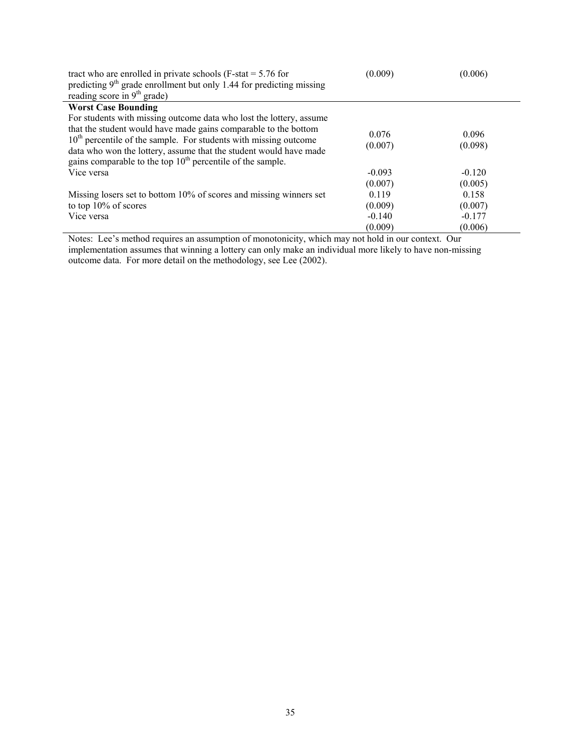| tract who are enrolled in private schools ( $F$ -stat = 5.76 for<br>predicting $9th$ grade enrollment but only 1.44 for predicting missing<br>reading score in $9th$ grade)                                                                                                                                                                       | (0.009)          | (0.006)          |
|---------------------------------------------------------------------------------------------------------------------------------------------------------------------------------------------------------------------------------------------------------------------------------------------------------------------------------------------------|------------------|------------------|
| <b>Worst Case Bounding</b>                                                                                                                                                                                                                                                                                                                        |                  |                  |
| For students with missing outcome data who lost the lottery, assume<br>that the student would have made gains comparable to the bottom<br>$10th$ percentile of the sample. For students with missing outcome<br>data who won the lottery, assume that the student would have made<br>gains comparable to the top $10th$ percentile of the sample. | 0.076<br>(0.007) | 0.096<br>(0.098) |
| Vice versa                                                                                                                                                                                                                                                                                                                                        | $-0.093$         | $-0.120$         |
|                                                                                                                                                                                                                                                                                                                                                   | (0.007)          | (0.005)          |
| Missing losers set to bottom 10% of scores and missing winners set                                                                                                                                                                                                                                                                                | 0.119            | 0.158            |
| to top $10\%$ of scores                                                                                                                                                                                                                                                                                                                           | (0.009)          | (0.007)          |
| Vice versa                                                                                                                                                                                                                                                                                                                                        | $-0.140$         | $-0.177$         |
|                                                                                                                                                                                                                                                                                                                                                   | (0.009)          | (0.006)          |

Notes: Lee's method requires an assumption of monotonicity, which may not hold in our context. Our implementation assumes that winning a lottery can only make an individual more likely to have non-missing outcome data. For more detail on the methodology, see Lee (2002).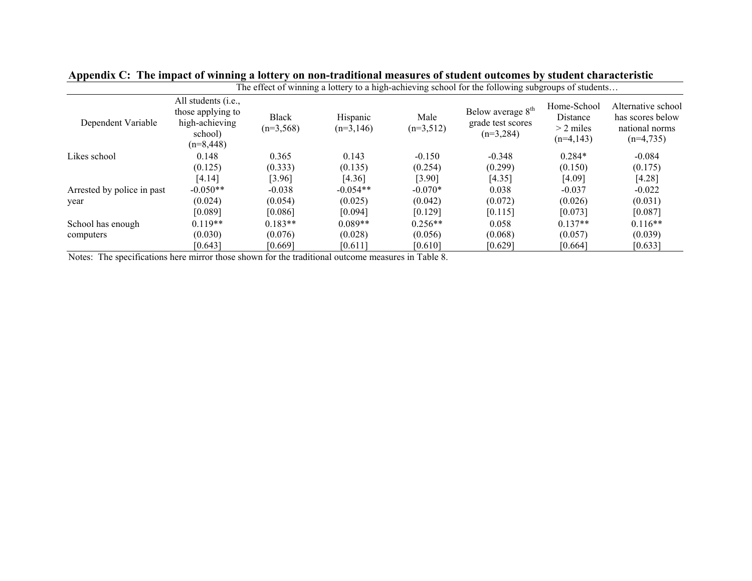|                            |                                                                                               |                             |                         |                     | The effect of winning a lottery to a high-achieving school for the following subgroups of students |                                                       |                                                                         |
|----------------------------|-----------------------------------------------------------------------------------------------|-----------------------------|-------------------------|---------------------|----------------------------------------------------------------------------------------------------|-------------------------------------------------------|-------------------------------------------------------------------------|
| Dependent Variable         | All students ( <i>i.e.</i> ,<br>those applying to<br>high-achieving<br>school)<br>$(n=8,448)$ | <b>Black</b><br>$(n=3,568)$ | Hispanic<br>$(n=3,146)$ | Male<br>$(n=3,512)$ | Below average 8 <sup>th</sup><br>grade test scores<br>$(n=3,284)$                                  | Home-School<br>Distance<br>$>$ 2 miles<br>$(n=4,143)$ | Alternative school<br>has scores below<br>national norms<br>$(n=4,735)$ |
| Likes school               | 0.148                                                                                         | 0.365                       | 0.143                   | $-0.150$            | $-0.348$                                                                                           | $0.284*$                                              | $-0.084$                                                                |
|                            | (0.125)                                                                                       | (0.333)                     | (0.135)                 | (0.254)             | (0.299)                                                                                            | (0.150)                                               | (0.175)                                                                 |
|                            | [4.14]                                                                                        | [3.96]                      | [4.36]                  | [3.90]              | [4.35]                                                                                             | [4.09]                                                | [4.28]                                                                  |
| Arrested by police in past | $-0.050**$                                                                                    | $-0.038$                    | $-0.054**$              | $-0.070*$           | 0.038                                                                                              | $-0.037$                                              | $-0.022$                                                                |
| year                       | (0.024)                                                                                       | (0.054)                     | (0.025)                 | (0.042)             | (0.072)                                                                                            | (0.026)                                               | (0.031)                                                                 |
|                            | [0.089]                                                                                       | [0.086]                     | [0.094]                 | [0.129]             | [0.115]                                                                                            | [0.073]                                               | [0.087]                                                                 |
| School has enough          | $0.119**$                                                                                     | $0.183**$                   | $0.089**$               | $0.256**$           | 0.058                                                                                              | $0.137**$                                             | $0.116**$                                                               |
| computers                  | (0.030)                                                                                       | (0.076)                     | (0.028)                 | (0.056)             | (0.068)                                                                                            | (0.057)                                               | (0.039)                                                                 |
|                            | [0.643]                                                                                       | [0.669]                     | [0.611]                 | [0.610]             | [0.629]                                                                                            | [0.664]                                               | [0.633]                                                                 |

|  |  |  | Appendix C: The impact of winning a lottery on non-traditional measures of student outcomes by student characteristic |  |  |
|--|--|--|-----------------------------------------------------------------------------------------------------------------------|--|--|
|--|--|--|-----------------------------------------------------------------------------------------------------------------------|--|--|

Notes: The specifications here mirror those shown for the traditional outcome measures in Table 8.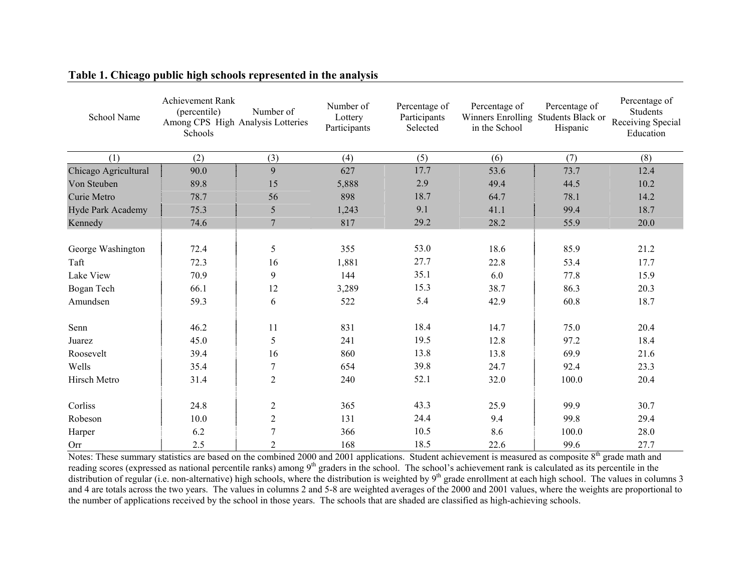| School Name              | Achievement Rank<br>(percentile)<br>Among CPS High Analysis Lotteries<br>Schools | Number of      | Number of<br>Lottery<br>Participants | Percentage of<br>Participants<br>Selected | Percentage of<br>Winners Enrolling Students Black or<br>in the School | Percentage of<br>Hispanic | Percentage of<br>Students<br>Receiving Special<br>Education |
|--------------------------|----------------------------------------------------------------------------------|----------------|--------------------------------------|-------------------------------------------|-----------------------------------------------------------------------|---------------------------|-------------------------------------------------------------|
| (1)                      | (2)                                                                              | (3)            | (4)                                  | (5)                                       | (6)                                                                   | (7)                       | (8)                                                         |
| Chicago Agricultural     | 90.0                                                                             | 9              | 627                                  | 17.7                                      | 53.6                                                                  | 73.7                      | 12.4                                                        |
| Von Steuben              | 89.8                                                                             | 15             | 5,888                                | 2.9                                       | 49.4                                                                  | 44.5                      | 10.2                                                        |
| Curie Metro              | 78.7                                                                             | 56             | 898                                  | 18.7                                      | 64.7                                                                  | 78.1                      | 14.2                                                        |
| <b>Hyde Park Academy</b> | 75.3                                                                             | 5              | 1,243                                | 9.1                                       | 41.1                                                                  | 99.4                      | 18.7                                                        |
| Kennedy                  | 74.6                                                                             | $\overline{7}$ | 817                                  | 29.2                                      | 28.2                                                                  | 55.9                      | 20.0                                                        |
|                          |                                                                                  |                |                                      |                                           |                                                                       |                           |                                                             |
| George Washington        | 72.4                                                                             | 5              | 355                                  | 53.0                                      | 18.6                                                                  | 85.9                      | 21.2                                                        |
| Taft                     | 72.3                                                                             | 16             | 1,881                                | 27.7                                      | 22.8                                                                  | 53.4                      | 17.7                                                        |
| Lake View                | 70.9                                                                             | 9              | 144                                  | 35.1                                      | 6.0                                                                   | 77.8                      | 15.9                                                        |
| Bogan Tech               | 66.1                                                                             | 12             | 3,289                                | 15.3                                      | 38.7                                                                  | 86.3                      | 20.3                                                        |
| Amundsen                 | 59.3                                                                             | 6              | 522                                  | 5.4                                       | 42.9                                                                  | 60.8                      | 18.7                                                        |
| Senn                     | 46.2                                                                             | 11             | 831                                  | 18.4                                      | 14.7                                                                  | 75.0                      | 20.4                                                        |
| Juarez                   | 45.0                                                                             | 5              | 241                                  | 19.5                                      | 12.8                                                                  | 97.2                      | 18.4                                                        |
| Roosevelt                | 39.4                                                                             | 16             | 860                                  | 13.8                                      | 13.8                                                                  | 69.9                      | 21.6                                                        |
| Wells                    | 35.4                                                                             | 7              | 654                                  | 39.8                                      | 24.7                                                                  | 92.4                      | 23.3                                                        |
| Hirsch Metro             | 31.4                                                                             | $\overline{2}$ | 240                                  | 52.1                                      | 32.0                                                                  | 100.0                     | 20.4                                                        |
|                          |                                                                                  |                |                                      |                                           |                                                                       |                           |                                                             |
| Corliss                  | 24.8                                                                             | $\mathfrak{2}$ | 365                                  | 43.3                                      | 25.9                                                                  | 99.9                      | 30.7                                                        |
| Robeson                  | 10.0                                                                             | $\overline{2}$ | 131                                  | 24.4                                      | 9.4                                                                   | 99.8                      | 29.4                                                        |
| Harper                   | 6.2                                                                              | 7              | 366                                  | 10.5                                      | 8.6                                                                   | 100.0                     | 28.0                                                        |
| Orr                      | 2.5                                                                              | $\overline{2}$ | 168                                  | 18.5                                      | 22.6                                                                  | 99.6                      | 27.7                                                        |

### **Table 1. Chicago public high schools represented in the analysis**

Notes: These summary statistics are based on the combined 2000 and 2001 applications. Student achievement is measured as composite  $8<sup>th</sup>$  grade math and reading scores (expressed as national percentile ranks) among 9<sup>th</sup> graders in the school. The school's achievement rank is calculated as its percentile in the distribution of regular (i.e. non-alternative) high schools, where the distribution is weighted by  $9<sup>th</sup>$  grade enrollment at each high school. The values in columns 3 and 4 are totals across the two years. The values in columns 2 and 5-8 are weighted averages of the 2000 and 2001 values, where the weights are proportional to the number of applications received by the school in those years. The schools that are shaded are classified as high-achieving schools.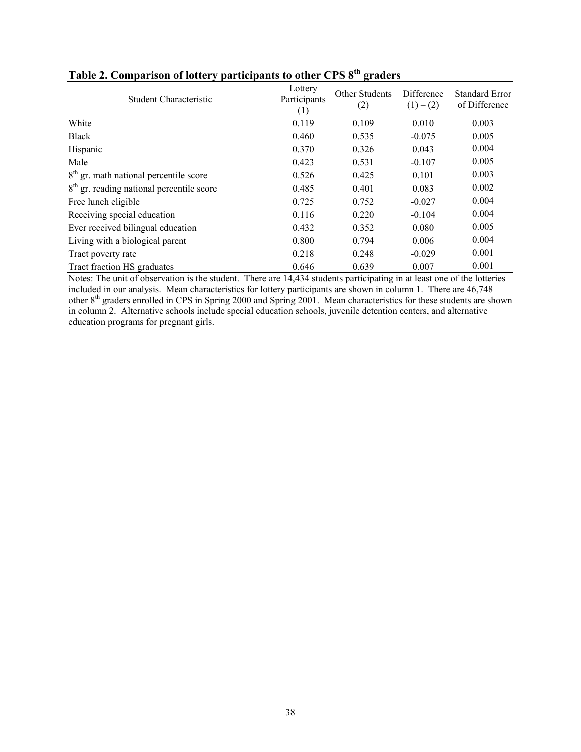| <b>Student Characteristic</b>               | Lottery<br>Participants<br>H. | Other Students<br>(2) | Difference<br>$(1)-(2)$ | <b>Standard Error</b><br>of Difference |
|---------------------------------------------|-------------------------------|-----------------------|-------------------------|----------------------------------------|
| White                                       | 0.119                         | 0.109                 | 0.010                   | 0.003                                  |
| <b>Black</b>                                | 0.460                         | 0.535                 | $-0.075$                | 0.005                                  |
| Hispanic                                    | 0.370                         | 0.326                 | 0.043                   | 0.004                                  |
| Male                                        | 0.423                         | 0.531                 | $-0.107$                | 0.005                                  |
| $8th$ gr. math national percentile score    | 0.526                         | 0.425                 | 0.101                   | 0.003                                  |
| $8th$ gr. reading national percentile score | 0.485                         | 0.401                 | 0.083                   | 0.002                                  |
| Free lunch eligible                         | 0.725                         | 0.752                 | $-0.027$                | 0.004                                  |
| Receiving special education                 | 0.116                         | 0.220                 | $-0.104$                | 0.004                                  |
| Ever received bilingual education           | 0.432                         | 0.352                 | 0.080                   | 0.005                                  |
| Living with a biological parent             | 0.800                         | 0.794                 | 0.006                   | 0.004                                  |
| Tract poverty rate                          | 0.218                         | 0.248                 | $-0.029$                | 0.001                                  |
| Tract fraction HS graduates                 | 0.646                         | 0.639                 | 0.007                   | 0.001                                  |

# **Table 2. Comparison of lottery participants to other CPS 8th graders**

Notes: The unit of observation is the student. There are 14,434 students participating in at least one of the lotteries included in our analysis. Mean characteristics for lottery participants are shown in column 1. There are 46,748 other 8<sup>th</sup> graders enrolled in CPS in Spring 2000 and Spring 2001. Mean characteristics for these students are shown in column 2. Alternative schools include special education schools, juvenile detention centers, and alternative education programs for pregnant girls.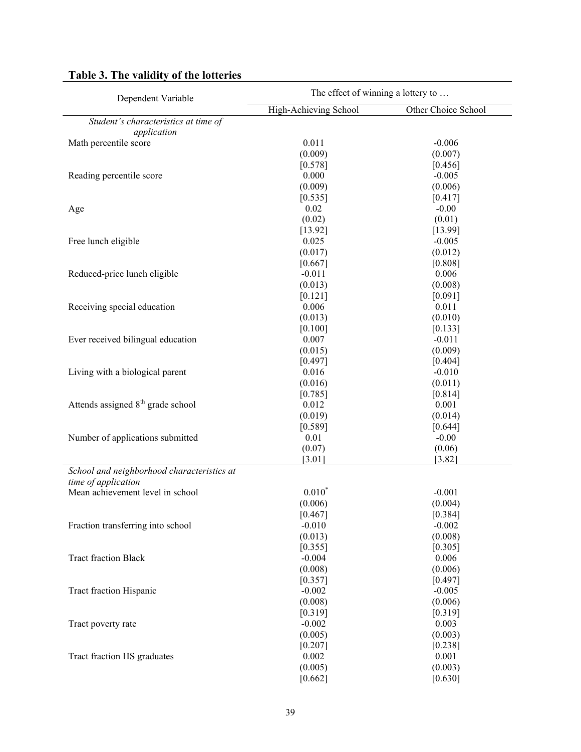| Dependent Variable                                                | The effect of winning a lottery to |                     |  |  |  |
|-------------------------------------------------------------------|------------------------------------|---------------------|--|--|--|
|                                                                   | High-Achieving School              | Other Choice School |  |  |  |
| Student's characteristics at time of                              |                                    |                     |  |  |  |
| application                                                       |                                    |                     |  |  |  |
| Math percentile score                                             | 0.011                              | $-0.006$            |  |  |  |
|                                                                   | (0.009)                            | (0.007)             |  |  |  |
|                                                                   | [0.578]                            | [0.456]             |  |  |  |
| Reading percentile score                                          | 0.000                              | $-0.005$            |  |  |  |
|                                                                   | (0.009)                            | (0.006)             |  |  |  |
|                                                                   | [0.535]                            | [0.417]             |  |  |  |
| Age                                                               | 0.02                               | $-0.00$             |  |  |  |
|                                                                   | (0.02)                             | (0.01)              |  |  |  |
|                                                                   | [13.92]                            | [13.99]             |  |  |  |
| Free lunch eligible                                               | 0.025                              | $-0.005$            |  |  |  |
|                                                                   | (0.017)                            | (0.012)             |  |  |  |
|                                                                   | [0.667]                            | [0.808]             |  |  |  |
| Reduced-price lunch eligible                                      | $-0.011$                           | 0.006               |  |  |  |
|                                                                   | (0.013)                            | (0.008)             |  |  |  |
|                                                                   | [0.121]                            | [0.091]             |  |  |  |
| Receiving special education                                       | 0.006                              | 0.011               |  |  |  |
|                                                                   | (0.013)                            | (0.010)             |  |  |  |
|                                                                   | [0.100]                            | [0.133]             |  |  |  |
| Ever received bilingual education                                 | 0.007                              | $-0.011$            |  |  |  |
|                                                                   | (0.015)                            | (0.009)             |  |  |  |
|                                                                   | [0.497]                            | [0.404]             |  |  |  |
| Living with a biological parent                                   | 0.016                              | $-0.010$            |  |  |  |
|                                                                   | (0.016)                            | (0.011)             |  |  |  |
|                                                                   | [0.785]                            | [0.814]             |  |  |  |
| Attends assigned 8 <sup>th</sup> grade school                     | 0.012                              | $0.001\,$           |  |  |  |
|                                                                   | (0.019)                            | (0.014)             |  |  |  |
|                                                                   | [0.589]                            | [0.644]             |  |  |  |
| Number of applications submitted                                  | 0.01                               | $-0.00$             |  |  |  |
|                                                                   | (0.07)                             | (0.06)              |  |  |  |
|                                                                   | [3.01]                             | [3.82]              |  |  |  |
| School and neighborhood characteristics at<br>time of application |                                    |                     |  |  |  |
| Mean achievement level in school                                  | $0.010*$                           | $-0.001$            |  |  |  |
|                                                                   | (0.006)                            | (0.004)             |  |  |  |
|                                                                   | [0.467]                            | [0.384]             |  |  |  |
| Fraction transferring into school                                 | $-0.010$                           | $-0.002$            |  |  |  |
|                                                                   | (0.013)                            | (0.008)             |  |  |  |
|                                                                   | [0.355]                            | [0.305]             |  |  |  |
| <b>Tract fraction Black</b>                                       | $-0.004$                           | 0.006               |  |  |  |
|                                                                   | (0.008)                            | (0.006)             |  |  |  |
|                                                                   | [0.357]                            | [0.497]             |  |  |  |
| Tract fraction Hispanic                                           | $-0.002$                           | $-0.005$            |  |  |  |
|                                                                   | (0.008)                            | (0.006)             |  |  |  |
|                                                                   | [0.319]                            | [0.319]             |  |  |  |
| Tract poverty rate                                                | $-0.002$                           | 0.003               |  |  |  |
|                                                                   | (0.005)                            | (0.003)             |  |  |  |
|                                                                   | [0.207]                            | [0.238]             |  |  |  |
| Tract fraction HS graduates                                       | 0.002                              | 0.001               |  |  |  |
|                                                                   | (0.005)                            | (0.003)             |  |  |  |
|                                                                   | [0.662]                            | [0.630]             |  |  |  |

# **Table 3. The validity of the lotteries**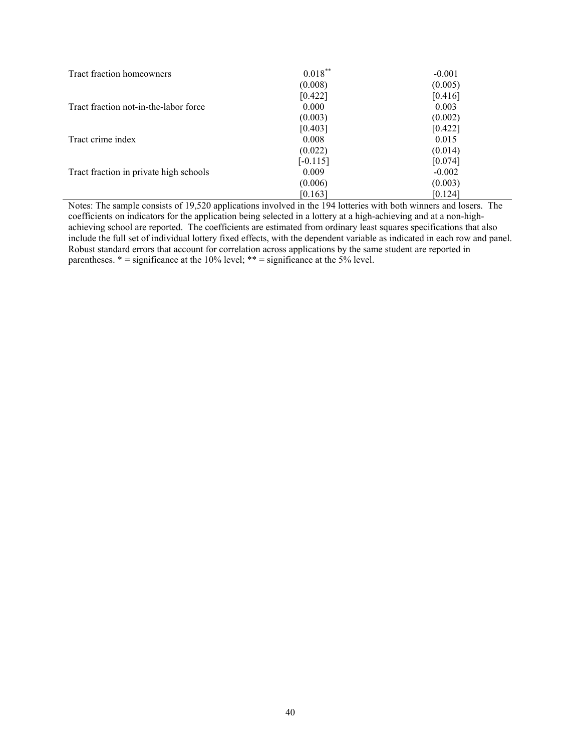| Tract fraction homeowners              | $0.018***$ | $-0.001$ |
|----------------------------------------|------------|----------|
|                                        | (0.008)    | (0.005)  |
|                                        | [0.422]    | [0.416]  |
| Tract fraction not-in-the-labor force  | 0.000      | 0.003    |
|                                        | (0.003)    | (0.002)  |
|                                        | [0.403]    | [0.422]  |
| Tract crime index                      | 0.008      | 0.015    |
|                                        | (0.022)    | (0.014)  |
|                                        | $[-0.115]$ | [0.074]  |
| Tract fraction in private high schools | 0.009      | $-0.002$ |
|                                        | (0.006)    | (0.003)  |
|                                        | [0.163]    | [0.124]  |

Notes: The sample consists of 19,520 applications involved in the 194 lotteries with both winners and losers. The coefficients on indicators for the application being selected in a lottery at a high-achieving and at a non-highachieving school are reported. The coefficients are estimated from ordinary least squares specifications that also include the full set of individual lottery fixed effects, with the dependent variable as indicated in each row and panel. Robust standard errors that account for correlation across applications by the same student are reported in parentheses.  $* =$  significance at the 10% level;  $** =$  significance at the 5% level.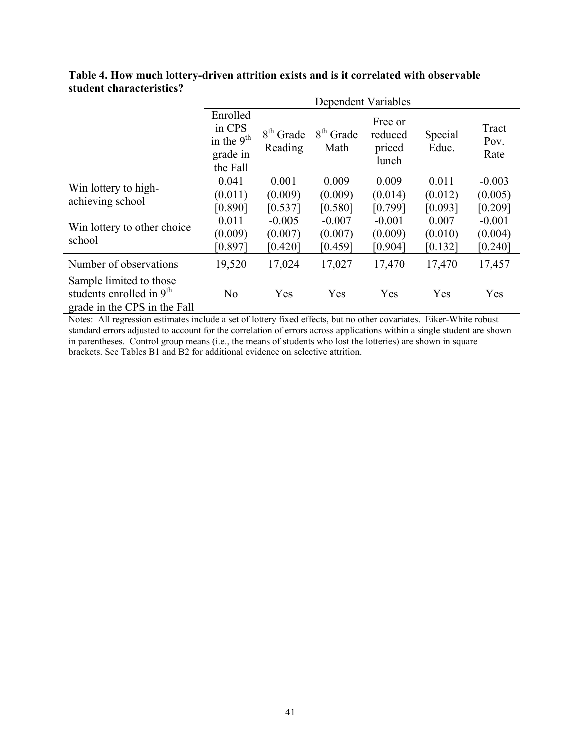|                                                                                                 | Dependent Variables                                        |                        |                     |                                       |                    |                       |
|-------------------------------------------------------------------------------------------------|------------------------------------------------------------|------------------------|---------------------|---------------------------------------|--------------------|-----------------------|
|                                                                                                 | Enrolled<br>in CPS<br>in the $9th$<br>grade in<br>the Fall | $8th$ Grade<br>Reading | $8th$ Grade<br>Math | Free or<br>reduced<br>priced<br>lunch | Special<br>Educ.   | Tract<br>Pov.<br>Rate |
| Win lottery to high-<br>achieving school                                                        | 0.041<br>(0.011)                                           | 0.001<br>(0.009)       | 0.009<br>(0.009)    | 0.009<br>(0.014)                      | 0.011<br>(0.012)   | $-0.003$<br>(0.005)   |
|                                                                                                 | [0.890]<br>0.011                                           | [0.537]<br>$-0.005$    | [0.580]<br>$-0.007$ | [0.799]<br>$-0.001$                   | [0.093]<br>0.007   | [0.209]<br>$-0.001$   |
| Win lottery to other choice<br>school                                                           | (0.009)<br>[0.897]                                         | (0.007)<br>[0.420]     | (0.007)<br>[0.459]  | (0.009)<br>[0.904]                    | (0.010)<br>[0.132] | (0.004)<br>[0.240]    |
| Number of observations                                                                          | 19,520                                                     | 17,024                 | 17,027              | 17,470                                | 17,470             | 17,457                |
| Sample limited to those<br>students enrolled in 9 <sup>th</sup><br>grade in the CPS in the Fall | N <sub>o</sub>                                             | Yes                    | Yes                 | Yes                                   | Yes                | Yes                   |

## **Table 4. How much lottery-driven attrition exists and is it correlated with observable student characteristics?**

Notes: All regression estimates include a set of lottery fixed effects, but no other covariates. Eiker-White robust standard errors adjusted to account for the correlation of errors across applications within a single student are shown in parentheses. Control group means (i.e., the means of students who lost the lotteries) are shown in square brackets. See Tables B1 and B2 for additional evidence on selective attrition.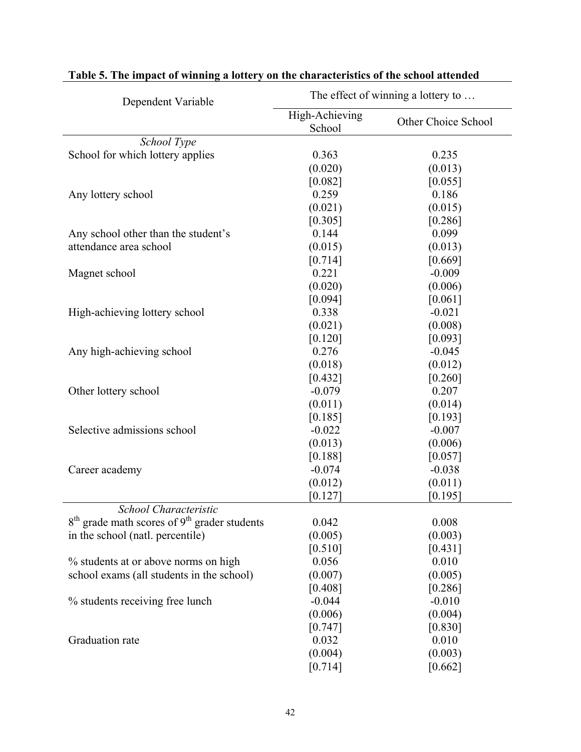| Dependent Variable                               | The effect of winning a lottery to |                     |  |  |
|--------------------------------------------------|------------------------------------|---------------------|--|--|
|                                                  | High-Achieving<br>School           | Other Choice School |  |  |
| School Type                                      |                                    |                     |  |  |
| School for which lottery applies                 | 0.363                              | 0.235               |  |  |
|                                                  | (0.020)                            | (0.013)             |  |  |
|                                                  | [0.082]                            | [0.055]             |  |  |
| Any lottery school                               | 0.259                              | 0.186               |  |  |
|                                                  | (0.021)                            | (0.015)             |  |  |
|                                                  | [0.305]                            | [0.286]             |  |  |
| Any school other than the student's              | 0.144                              | 0.099               |  |  |
| attendance area school                           | (0.015)                            | (0.013)             |  |  |
|                                                  | [0.714]                            | [0.669]             |  |  |
| Magnet school                                    | 0.221                              | $-0.009$            |  |  |
|                                                  | (0.020)                            | (0.006)             |  |  |
|                                                  | [0.094]                            | [0.061]             |  |  |
| High-achieving lottery school                    | 0.338                              | $-0.021$            |  |  |
|                                                  | (0.021)                            | (0.008)             |  |  |
|                                                  | [0.120]                            | [0.093]             |  |  |
| Any high-achieving school                        | 0.276                              | $-0.045$            |  |  |
|                                                  | (0.018)                            | (0.012)             |  |  |
|                                                  | [0.432]                            | [0.260]             |  |  |
| Other lottery school                             | $-0.079$                           | 0.207               |  |  |
|                                                  | (0.011)                            | (0.014)             |  |  |
|                                                  | [0.185]                            | [0.193]             |  |  |
| Selective admissions school                      | $-0.022$                           | $-0.007$            |  |  |
|                                                  | (0.013)                            | (0.006)             |  |  |
|                                                  | [0.188]                            | [0.057]             |  |  |
| Career academy                                   | $-0.074$                           | $-0.038$            |  |  |
|                                                  | (0.012)                            | (0.011)             |  |  |
|                                                  | [0.127]                            | [0.195]             |  |  |
| School Characteristic                            |                                    |                     |  |  |
| $8th$ grade math scores of $9th$ grader students | 0.042                              | 0.008               |  |  |
| in the school (natl. percentile)                 | (0.005)                            | (0.003)             |  |  |
|                                                  | [0.510]                            | [0.431]             |  |  |
| % students at or above norms on high             | 0.056                              | 0.010               |  |  |
| school exams (all students in the school)        | (0.007)                            | (0.005)             |  |  |
|                                                  | [0.408]                            | [0.286]             |  |  |
| % students receiving free lunch                  | $-0.044$                           | $-0.010$            |  |  |
|                                                  | (0.006)                            | (0.004)             |  |  |
|                                                  | [0.747]                            | [0.830]             |  |  |
| Graduation rate                                  | 0.032                              | 0.010               |  |  |
|                                                  | (0.004)                            | (0.003)             |  |  |
|                                                  | [0.714]                            | [0.662]             |  |  |

# **Table 5. The impact of winning a lottery on the characteristics of the school attended**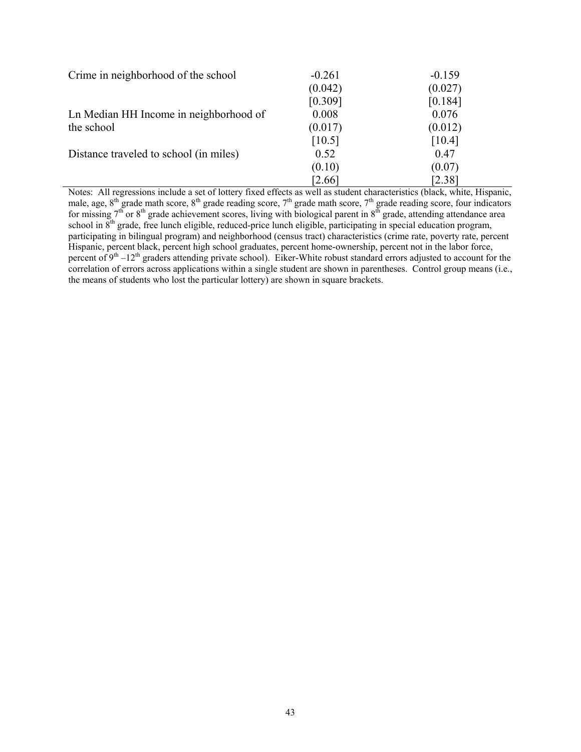| Crime in neighborhood of the school    | $-0.261$ | $-0.159$ |
|----------------------------------------|----------|----------|
|                                        | (0.042)  | (0.027)  |
|                                        | [0.309]  | [0.184]  |
| Ln Median HH Income in neighborhood of | 0.008    | 0.076    |
| the school                             | (0.017)  | (0.012)  |
|                                        | [10.5]   | [10.4]   |
| Distance traveled to school (in miles) | 0.52     | 0.47     |
|                                        | (0.10)   | (0.07)   |
|                                        | 2.66     | [2.38]   |

Notes: All regressions include a set of lottery fixed effects as well as student characteristics (black, white, Hispanic, male, age,  $8^{th}$  grade math score,  $8^{th}$  grade reading score,  $7^{th}$  grade math score,  $7^{th}$  grade reading score, four indicators for missing  $7<sup>th</sup>$  or  $8<sup>th</sup>$  grade achievement scores, living with biological parent in  $8<sup>th</sup>$  grade, attending attendance area school in  $8<sup>th</sup>$  grade, free lunch eligible, reduced-price lunch eligible, participating in special education program, participating in bilingual program) and neighborhood (census tract) characteristics (crime rate, poverty rate, percent Hispanic, percent black, percent high school graduates, percent home-ownership, percent not in the labor force, percent of  $9<sup>th</sup> - 12<sup>th</sup>$  graders attending private school). Eiker-White robust standard errors adjusted to account for the correlation of errors across applications within a single student are shown in parentheses. Control group means (i.e., the means of students who lost the particular lottery) are shown in square brackets.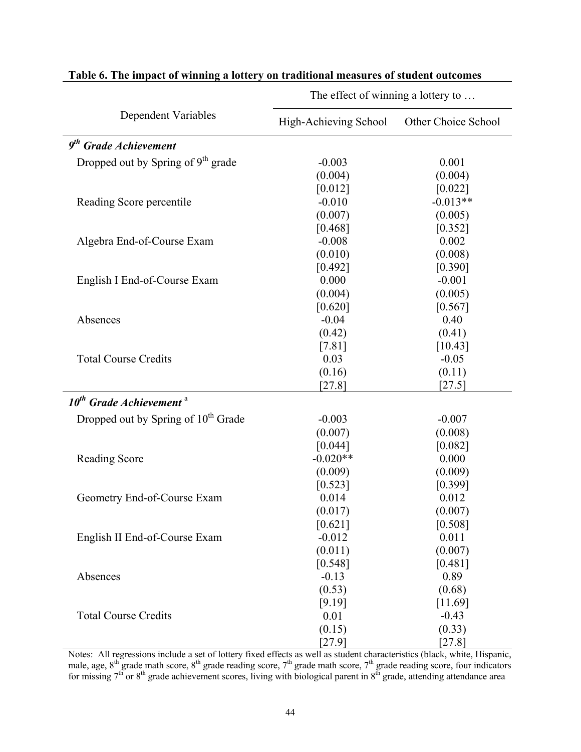|                                                 | $\frac{1}{100}$ chect of whilling a follery to $\ldots$ |                     |  |
|-------------------------------------------------|---------------------------------------------------------|---------------------|--|
| <b>Dependent Variables</b>                      | High-Achieving School                                   | Other Choice School |  |
| $9th$ Grade Achievement                         |                                                         |                     |  |
| Dropped out by Spring of 9 <sup>th</sup> grade  | $-0.003$                                                | 0.001               |  |
|                                                 | (0.004)                                                 | (0.004)             |  |
|                                                 | [0.012]                                                 | [0.022]             |  |
| Reading Score percentile                        | $-0.010$                                                | $-0.013**$          |  |
|                                                 | (0.007)                                                 | (0.005)             |  |
|                                                 | [0.468]                                                 | [0.352]             |  |
| Algebra End-of-Course Exam                      | $-0.008$                                                | 0.002               |  |
|                                                 | (0.010)                                                 | (0.008)             |  |
|                                                 | [0.492]                                                 | [0.390]             |  |
| English I End-of-Course Exam                    | 0.000                                                   | $-0.001$            |  |
|                                                 | (0.004)                                                 | (0.005)             |  |
|                                                 | [0.620]                                                 | [0.567]             |  |
| Absences                                        | $-0.04$                                                 | 0.40                |  |
|                                                 | (0.42)                                                  | (0.41)              |  |
|                                                 | [7.81]                                                  | [10.43]             |  |
| <b>Total Course Credits</b>                     | 0.03                                                    | $-0.05$             |  |
|                                                 | (0.16)                                                  | (0.11)              |  |
|                                                 | $[27.8]$                                                | $[27.5]$            |  |
| $10^{th}$ Grade Achievement <sup>a</sup>        |                                                         |                     |  |
| Dropped out by Spring of 10 <sup>th</sup> Grade | $-0.003$                                                | $-0.007$            |  |
|                                                 | (0.007)                                                 | (0.008)             |  |
|                                                 | [0.044]                                                 | [0.082]             |  |
| <b>Reading Score</b>                            | $-0.020**$                                              | 0.000               |  |
|                                                 | (0.009)                                                 | (0.009)             |  |
|                                                 | [0.523]                                                 | [0.399]             |  |
| Geometry End-of-Course Exam                     | 0.014                                                   | 0.012               |  |
|                                                 | (0.017)                                                 | (0.007)             |  |
|                                                 | [0.621]                                                 | [0.508]             |  |
| English II End-of-Course Exam                   | $-0.012$                                                | 0.011               |  |
|                                                 | (0.011)                                                 | (0.007)             |  |
|                                                 | [0.548]                                                 | [0.481]             |  |
| Absences                                        | $-0.13$                                                 | 0.89                |  |
|                                                 | (0.53)                                                  | (0.68)              |  |
|                                                 | [9.19]                                                  | [11.69]             |  |
| <b>Total Course Credits</b>                     | 0.01                                                    | $-0.43$             |  |
|                                                 | (0.15)                                                  | (0.33)              |  |
|                                                 | $[27.9]$                                                | $[27.8]$            |  |

## **Table 6. The impact of winning a lottery on traditional measures of student outcomes**

The effect of winning a lottery to

Notes: All regressions include a set of lottery fixed effects as well as student characteristics (black, white, Hispanic, male, age,  $8^{th}$  grade math score,  $8^{th}$  grade reading score,  $7^{th}$  grade math score,  $7^{th}$  grade reading score, four indicators for missing  $7<sup>th</sup>$  or  $8<sup>th</sup>$  grade achievement scores, living with biological parent in  $8<sup>th</sup>$  grade, attending attendance area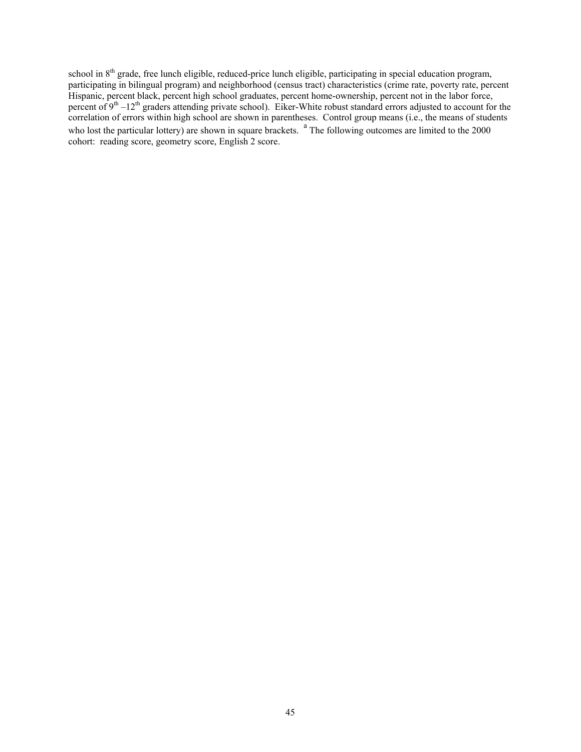school in 8<sup>th</sup> grade, free lunch eligible, reduced-price lunch eligible, participating in special education program, participating in bilingual program) and neighborhood (census tract) characteristics (crime rate, poverty rate, percent Hispanic, percent black, percent high school graduates, percent home-ownership, percent not in the labor force, percent of  $9<sup>th</sup> - 12<sup>th</sup>$  graders attending private school). Eiker-White robust standard errors adjusted to account for the correlation of errors within high school are shown in parentheses. Control group means (i.e., the means of students who lost the particular lottery) are shown in square brackets.  $a$  The following outcomes are limited to the 2000 cohort: reading score, geometry score, English 2 score.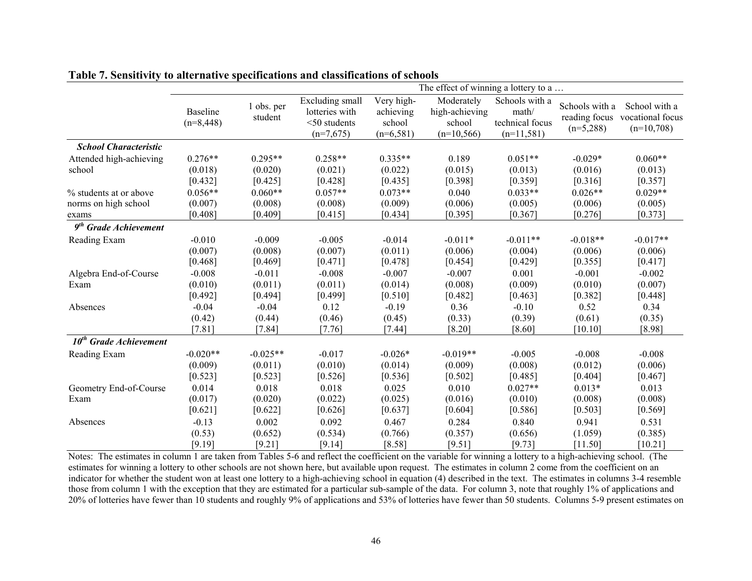|                                   |                                |                       |                                                                     |                                                  | The effect of winning a lottery to a                    |                                                            |                               |                                                                 |
|-----------------------------------|--------------------------------|-----------------------|---------------------------------------------------------------------|--------------------------------------------------|---------------------------------------------------------|------------------------------------------------------------|-------------------------------|-----------------------------------------------------------------|
|                                   | <b>Baseline</b><br>$(n=8,448)$ | 1 obs. per<br>student | Excluding small<br>lotteries with<br>$<$ 50 students<br>$(n=7,675)$ | Very high-<br>achieving<br>school<br>$(n=6,581)$ | Moderately<br>high-achieving<br>school<br>$(n=10, 566)$ | Schools with a<br>math/<br>technical focus<br>$(n=11,581)$ | Schools with a<br>$(n=5,288)$ | School with a<br>reading focus vocational focus<br>$(n=10,708)$ |
| <b>School Characteristic</b>      |                                |                       |                                                                     |                                                  |                                                         |                                                            |                               |                                                                 |
| Attended high-achieving           | $0.276**$                      | $0.295**$             | $0.258**$                                                           | $0.335**$                                        | 0.189                                                   | $0.051**$                                                  | $-0.029*$                     | $0.060**$                                                       |
| school                            | (0.018)<br>[0.432]             | (0.020)<br>[0.425]    | (0.021)<br>[0.428]                                                  | (0.022)<br>[0.435]                               | (0.015)<br>[0.398]                                      | (0.013)<br>[0.359]                                         | (0.016)<br>[0.316]            | (0.013)<br>[0.357]                                              |
| % students at or above            | $0.056**$                      | $0.060**$             | $0.057**$                                                           | $0.073**$                                        | 0.040                                                   | $0.033**$                                                  | $0.026**$                     | $0.029**$                                                       |
| norms on high school              | (0.007)                        | (0.008)               | (0.008)                                                             | (0.009)                                          | (0.006)                                                 | (0.005)                                                    | (0.006)                       | (0.005)                                                         |
| exams                             | [0.408]                        | [0.409]               | [0.415]                                                             | [0.434]                                          | [0.395]                                                 | [0.367]                                                    | [0.276]                       | [0.373]                                                         |
| 9 <sup>th</sup> Grade Achievement |                                |                       |                                                                     |                                                  |                                                         |                                                            |                               |                                                                 |
| Reading Exam                      | $-0.010$                       | $-0.009$              | $-0.005$                                                            | $-0.014$                                         | $-0.011*$                                               | $-0.011**$                                                 | $-0.018**$                    | $-0.017**$                                                      |
|                                   | (0.007)                        | (0.008)               | (0.007)                                                             | (0.011)                                          | (0.006)                                                 | (0.004)                                                    | (0.006)                       | (0.006)                                                         |
|                                   | [0.468]                        | [0.469]               | [0.471]                                                             | [0.478]                                          | [0.454]                                                 | [0.429]                                                    | [0.355]                       | [0.417]                                                         |
| Algebra End-of-Course             | $-0.008$                       | $-0.011$              | $-0.008$                                                            | $-0.007$                                         | $-0.007$                                                | 0.001                                                      | $-0.001$                      | $-0.002$                                                        |
| Exam                              | (0.010)<br>[0.492]             | (0.011)<br>[0.494]    | (0.011)<br>[0.499]                                                  | (0.014)<br>[0.510]                               | (0.008)<br>[0.482]                                      | (0.009)<br>[0.463]                                         | (0.010)<br>[0.382]            | (0.007)<br>$[0.448]$                                            |
| Absences                          | $-0.04$                        | $-0.04$               | 0.12                                                                | $-0.19$                                          | 0.36                                                    | $-0.10$                                                    | 0.52                          | 0.34                                                            |
|                                   | (0.42)<br>[7.81]               | (0.44)<br>[7.84]      | (0.46)<br>[7.76]                                                    | (0.45)<br>[7.44]                                 | (0.33)<br>$[8.20]$                                      | (0.39)<br>[8.60]                                           | (0.61)<br>[10.10]             | (0.35)<br>[8.98]                                                |
| $10^{th}$ Grade Achievement       |                                |                       |                                                                     |                                                  |                                                         |                                                            |                               |                                                                 |
| Reading Exam                      | $-0.020**$                     | $-0.025**$            | $-0.017$                                                            | $-0.026*$                                        | $-0.019**$                                              | $-0.005$                                                   | $-0.008$                      | $-0.008$                                                        |
|                                   | (0.009)<br>[0.523]             | (0.011)<br>[0.523]    | (0.010)<br>[0.526]                                                  | (0.014)<br>[0.536]                               | (0.009)<br>[0.502]                                      | (0.008)<br>[0.485]                                         | (0.012)<br>$[0.404]$          | (0.006)<br>[0.467]                                              |
| Geometry End-of-Course            | 0.014                          | 0.018                 | 0.018                                                               | 0.025                                            | 0.010                                                   | $0.027**$                                                  | $0.013*$                      | 0.013                                                           |
| Exam                              | (0.017)<br>[0.621]             | (0.020)<br>[0.622]    | (0.022)<br>[0.626]                                                  | (0.025)<br>[0.637]                               | (0.016)<br>[0.604]                                      | (0.010)<br>[0.586]                                         | (0.008)<br>[0.503]            | (0.008)<br>[0.569]                                              |
| Absences                          | $-0.13$<br>(0.53)              | 0.002<br>(0.652)      | 0.092<br>(0.534)                                                    | 0.467<br>(0.766)                                 | 0.284<br>(0.357)                                        | 0.840<br>(0.656)                                           | 0.941<br>(1.059)              | 0.531<br>(0.385)                                                |
|                                   | [9.19]                         | [9.21]                | [9.14]                                                              | [8.58]                                           | [9.51]                                                  | [9.73]                                                     | [11.50]                       | [10.21]                                                         |

**Table 7. Sensitivity to alternative specifications and classifications of schools** 

Notes: The estimates in column 1 are taken from Tables 5-6 and reflect the coefficient on the variable for winning a lottery to a high-achieving school. (The estimates for winning a lottery to other schools are not shown here, but available upon request. The estimates in column 2 come from the coefficient on an indicator for whether the student won at least one lottery to a high-achieving school in equation (4) described in the text. The estimates in columns 3-4 resemble those from column 1 with the exception that they are estimated for a particular sub-sample of the data. For column 3, note that roughly 1% of applications and 20% of lotteries have fewer than 10 students and roughly 9% of applications and 53% of lotteries have fewer than 50 students. Columns 5-9 present estimates on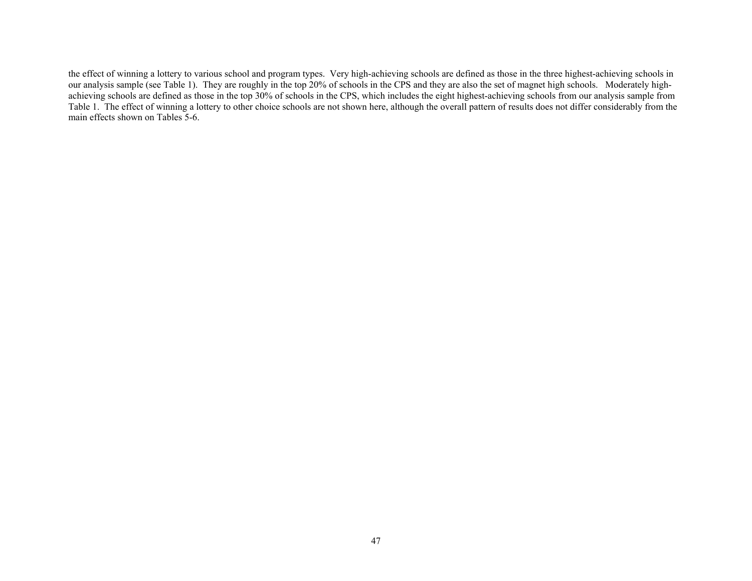the effect of winning a lottery to various school and program types. Very high-achieving schools are defined as those in the three highest-achieving schools in our analysis sample (see Table 1). They are roughly in the top 20% of schools in the CPS and they are also the set of magnet high schools. Moderately highachieving schools are defined as those in the top 30% of schools in the CPS, which includes the eight highest-achieving schools from our analysis sample from Table 1. The effect of winning a lottery to other choice schools are not shown here, although the overall pattern of results does not differ considerably from the main effects shown on Tables 5-6.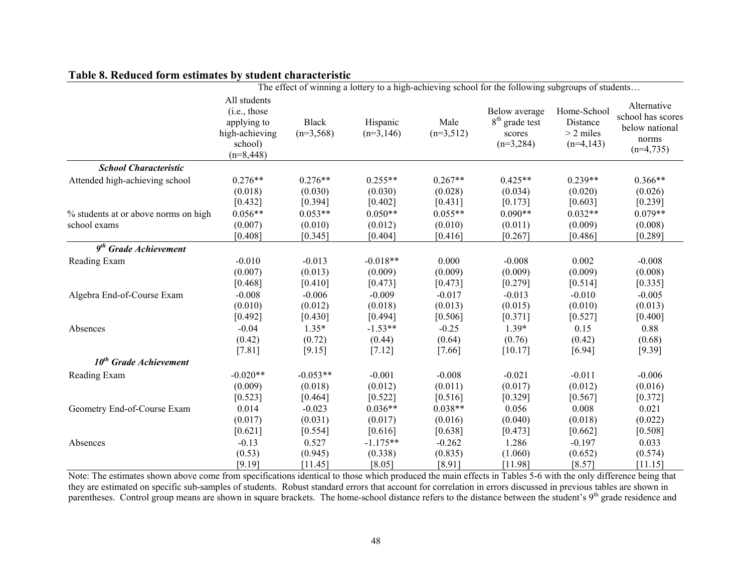### **Table 8. Reduced form estimates by student characteristic**

|                                      | The effect of winning a lottery to a high-achieving school for the following subgroups of students |                             |                         |                     |                                                            |                                                       |                                                                            |
|--------------------------------------|----------------------------------------------------------------------------------------------------|-----------------------------|-------------------------|---------------------|------------------------------------------------------------|-------------------------------------------------------|----------------------------------------------------------------------------|
|                                      | All students<br>(i.e., those)<br>applying to<br>high-achieving<br>school)<br>$(n=8,448)$           | <b>Black</b><br>$(n=3,568)$ | Hispanic<br>$(n=3,146)$ | Male<br>$(n=3,512)$ | Below average<br>$8th$ grade test<br>scores<br>$(n=3,284)$ | Home-School<br>Distance<br>$> 2$ miles<br>$(n=4,143)$ | Alternative<br>school has scores<br>below national<br>norms<br>$(n=4,735)$ |
| <b>School Characteristic</b>         |                                                                                                    |                             |                         |                     |                                                            |                                                       |                                                                            |
| Attended high-achieving school       | $0.276**$                                                                                          | $0.276**$                   | $0.255**$               | $0.267**$           | $0.425**$                                                  | $0.239**$                                             | $0.366**$                                                                  |
|                                      | (0.018)                                                                                            | (0.030)                     | (0.030)                 | (0.028)             | (0.034)                                                    | (0.020)                                               | (0.026)                                                                    |
|                                      | $[0.432]$                                                                                          | [0.394]                     | [0.402]                 | [0.431]             | [0.173]                                                    | [0.603]                                               | [0.239]                                                                    |
| % students at or above norms on high | $0.056**$                                                                                          | $0.053**$                   | $0.050**$               | $0.055**$           | $0.090**$                                                  | $0.032**$                                             | $0.079**$                                                                  |
| school exams                         | (0.007)                                                                                            | (0.010)                     | (0.012)                 | (0.010)             | (0.011)                                                    | (0.009)                                               | (0.008)                                                                    |
|                                      | [0.408]                                                                                            | [0.345]                     | [0.404]                 | [0.416]             | [0.267]                                                    | [0.486]                                               | [0.289]                                                                    |
| $9th$ Grade Achievement              |                                                                                                    |                             |                         |                     |                                                            |                                                       |                                                                            |
| Reading Exam                         | $-0.010$                                                                                           | $-0.013$                    | $-0.018**$              | 0.000               | $-0.008$                                                   | 0.002                                                 | $-0.008$                                                                   |
|                                      | (0.007)                                                                                            | (0.013)                     | (0.009)                 | (0.009)             | (0.009)                                                    | (0.009)                                               | (0.008)                                                                    |
|                                      | [0.468]                                                                                            | [0.410]                     | [0.473]                 | [0.473]             | [0.279]                                                    | [0.514]                                               | [0.335]                                                                    |
| Algebra End-of-Course Exam           | $-0.008$                                                                                           | $-0.006$                    | $-0.009$                | $-0.017$            | $-0.013$                                                   | $-0.010$                                              | $-0.005$                                                                   |
|                                      | (0.010)                                                                                            | (0.012)                     | (0.018)                 | (0.013)             | (0.015)                                                    | (0.010)                                               | (0.013)                                                                    |
|                                      | $[0.492]$                                                                                          | $[0.430]$                   | $[0.494]$               | [0.506]             | $[0.371]$                                                  | $[0.527]$                                             | $[0.400]$                                                                  |
| Absences                             | $-0.04$                                                                                            | $1.35*$                     | $-1.53**$               | $-0.25$             | $1.39*$                                                    | 0.15                                                  | 0.88                                                                       |
|                                      | (0.42)                                                                                             | (0.72)                      | (0.44)                  | (0.64)              | (0.76)                                                     | (0.42)                                                | (0.68)                                                                     |
|                                      | [7.81]                                                                                             | [9.15]                      | [7.12]                  | [7.66]              | [10.17]                                                    | [6.94]                                                | [9.39]                                                                     |
| $10^{th}$ Grade Achievement          |                                                                                                    |                             |                         |                     |                                                            |                                                       |                                                                            |
| Reading Exam                         | $-0.020**$                                                                                         | $-0.053**$                  | $-0.001$                | $-0.008$            | $-0.021$                                                   | $-0.011$                                              | $-0.006$                                                                   |
|                                      | (0.009)                                                                                            | (0.018)                     | (0.012)                 | (0.011)             | (0.017)                                                    | (0.012)                                               | (0.016)                                                                    |
|                                      | [0.523]                                                                                            | [0.464]                     | [0.522]                 | [0.516]             | [0.329]                                                    | [0.567]                                               | $[0.372]$                                                                  |
| Geometry End-of-Course Exam          | 0.014                                                                                              | $-0.023$                    | $0.036**$               | $0.038**$           | 0.056                                                      | 0.008                                                 | 0.021                                                                      |
|                                      | (0.017)                                                                                            | (0.031)                     | (0.017)                 | (0.016)             | (0.040)                                                    | (0.018)                                               | (0.022)                                                                    |
|                                      | [0.621]                                                                                            | [0.554]                     | [0.616]                 | [0.638]             | [0.473]                                                    | [0.662]                                               | [0.508]                                                                    |
| Absences                             | $-0.13$                                                                                            | 0.527                       | $-1.175**$              | $-0.262$            | 1.286                                                      | $-0.197$                                              | 0.033                                                                      |
|                                      | (0.53)                                                                                             | (0.945)                     | (0.338)                 | (0.835)             | (1.060)                                                    | (0.652)                                               | (0.574)                                                                    |
|                                      | [9.19]                                                                                             | [11.45]                     | [8.05]                  | [8.91]              | [11.98]                                                    | [8.57]                                                | [11.15]                                                                    |

Note: The estimates shown above come from specifications identical to those which produced the main effects in Tables 5-6 with the only difference being that they are estimated on specific sub-samples of students. Robust standard errors that account for correlation in errors discussed in previous tables are shown in parentheses. Control group means are shown in square brackets. The home-school distance refers to the distance between the student's 9<sup>th</sup> grade residence and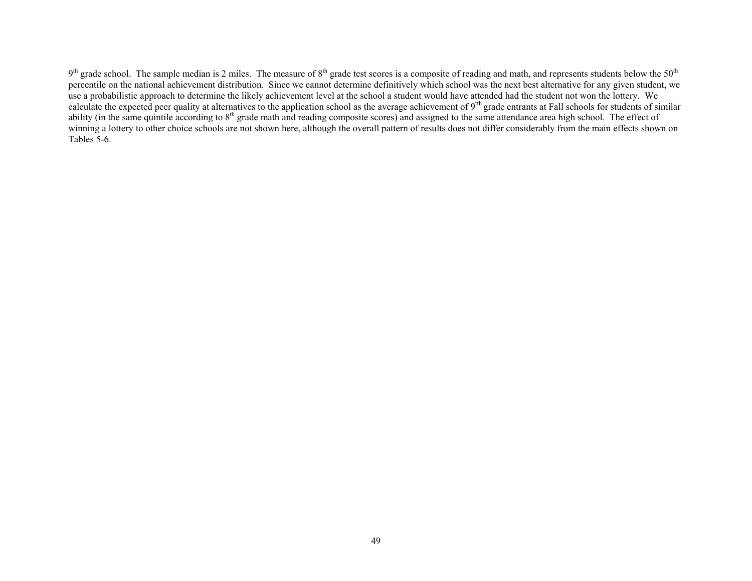$9<sup>th</sup>$  grade school. The sample median is 2 miles. The measure of  $8<sup>th</sup>$  grade test scores is a composite of reading and math, and represents students below the 50<sup>th</sup> percentile on the national achievement distribution. Since we cannot determine definitively which school was the next best alternative for any given student, we use a probabilistic approach to determine the likely achievement level at the school a student would have attended had the student not won the lottery. We calculate the expected peer quality at alternatives to the application school as the average achievement of  $9<sup>th</sup>$  grade entrants at Fall schools for students of similar ability (in the same quintile according to 8<sup>th</sup> grade math and reading composite scores) and assigned to the same attendance area high school. The effect of winning a lottery to other choice schools are not shown here, although the overall pattern of results does not differ considerably from the main effects shown on Tables 5-6.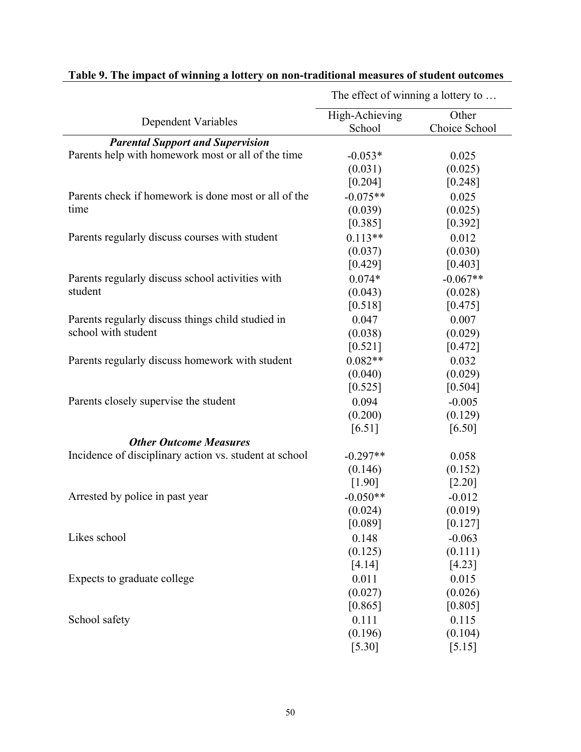|                                                        | The effect of winning a lottery to |                        |  |
|--------------------------------------------------------|------------------------------------|------------------------|--|
| <b>Dependent Variables</b>                             | High-Achieving<br>School           | Other<br>Choice School |  |
| <b>Parental Support and Supervision</b>                |                                    |                        |  |
| Parents help with homework most or all of the time     | $-0.053*$                          | 0.025                  |  |
|                                                        | (0.031)                            | (0.025)                |  |
|                                                        | [0.204]                            | [0.248]                |  |
| Parents check if homework is done most or all of the   | $-0.075**$                         | 0.025                  |  |
| time                                                   | (0.039)                            | (0.025)                |  |
|                                                        | [0.385]                            | [0.392]                |  |
| Parents regularly discuss courses with student         | $0.113**$                          | 0.012                  |  |
|                                                        | (0.037)                            | (0.030)                |  |
|                                                        | [0.429]                            | [0.403]                |  |
| Parents regularly discuss school activities with       | $0.074*$                           | $-0.067**$             |  |
| student                                                | (0.043)                            | (0.028)                |  |
|                                                        | [0.518]                            | [0.475]                |  |
| Parents regularly discuss things child studied in      | 0.047                              | 0.007                  |  |
| school with student                                    | (0.038)                            | (0.029)                |  |
|                                                        | [0.521]                            | [0.472]                |  |
| Parents regularly discuss homework with student        | $0.082**$                          | 0.032                  |  |
|                                                        | (0.040)                            | (0.029)                |  |
|                                                        | [0.525]                            | [0.504]                |  |
| Parents closely supervise the student                  | 0.094                              | $-0.005$               |  |
|                                                        | (0.200)                            | (0.129)                |  |
|                                                        | [6.51]                             | [6.50]                 |  |
| <b>Other Outcome Measures</b>                          |                                    |                        |  |
| Incidence of disciplinary action vs. student at school | $-0.297**$                         | 0.058                  |  |
|                                                        | (0.146)                            | (0.152)                |  |
|                                                        | [1.90]                             | $[2.20]$               |  |
| Arrested by police in past year                        | $-0.050**$                         | $-0.012$               |  |
|                                                        | (0.024)                            | (0.019)                |  |
|                                                        | [0.089]                            | [0.127]                |  |
| Likes school                                           | 0.148                              | $-0.063$               |  |
|                                                        | (0.125)                            | (0.111)                |  |
|                                                        | [4.14]                             | [4.23]                 |  |
| Expects to graduate college                            | 0.011                              | 0.015                  |  |
|                                                        | (0.027)                            | (0.026)                |  |
|                                                        | [0.865]                            | [0.805]                |  |
| School safety                                          | 0.111                              | 0.115                  |  |
|                                                        | (0.196)                            | (0.104)                |  |
|                                                        | [5.30]                             | [5.15]                 |  |

## **Table 9. The impact of winning a lottery on non-traditional measures of student outcomes**